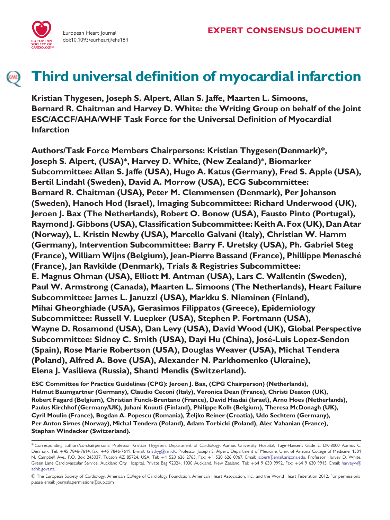

# **EXECUTE:** Third universal definition of myocardial infarction

Kristian Thygesen, Joseph S. Alpert, Allan S. Jaffe, Maarten L. Simoons, Bernard R. Chaitman and Harvey D. White: the Writing Group on behalf of the Joint ESC/ACCF/AHA/WHF Task Force for the Universal Definition of Myocardial Infarction

Authors/Task Force Members Chairpersons: Kristian Thygesen(Denmark)\*, Joseph S. Alpert, (USA)\*, Harvey D. White, (New Zealand)\*, Biomarker Subcommittee: Allan S. Jaffe (USA), Hugo A. Katus (Germany), Fred S. Apple (USA), Bertil Lindahl (Sweden), David A. Morrow (USA), ECG Subcommittee: Bernard R. Chaitman (USA), Peter M. Clemmensen (Denmark), Per Johanson (Sweden), Hanoch Hod (Israel), Imaging Subcommittee: Richard Underwood (UK), Jeroen J. Bax (The Netherlands), Robert O. Bonow (USA), Fausto Pinto (Portugal), Raymond J. Gibbons (USA), Classification Subcommittee: Keith A. Fox (UK), Dan Atar (Norway), L. Kristin Newby (USA), Marcello Galvani (Italy), Christian W. Hamm (Germany), Intervention Subcommittee: Barry F. Uretsky (USA), Ph. Gabriel Steg (France), William Wijns (Belgium), Jean-Pierre Bassand (France), Phillippe Menasche´ (France), Jan Ravkilde (Denmark), Trials & Registries Subcommittee: E. Magnus Ohman (USA), Elliott M. Antman (USA), Lars C. Wallentin (Sweden), Paul W. Armstrong (Canada), Maarten L. Simoons (The Netherlands), Heart Failure Subcommittee: James L. Januzzi (USA), Markku S. Nieminen (Finland), Mihai Gheorghiade (USA), Gerasimos Filippatos (Greece), Epidemiology Subcommittee: Russell V. Luepker (USA), Stephen P. Fortmann (USA), Wayne D. Rosamond (USA), Dan Levy (USA), David Wood (UK), Global Perspective Subcommittee: Sidney C. Smith (USA), Dayi Hu (China), José-Luis Lopez-Sendon (Spain), Rose Marie Robertson (USA), Douglas Weaver (USA), Michal Tendera (Poland), Alfred A. Bove (USA), Alexander N. Parkhomenko (Ukraine), Elena J. Vasilieva (Russia), Shanti Mendis (Switzerland).

ESC Committee for Practice Guidelines (CPG): Jeroen J. Bax, (CPG Chairperson) (Netherlands), Helmut Baumgartner (Germany), Claudio Ceconi (Italy), Veronica Dean (France), Christi Deaton (UK), Robert Fagard (Belgium), Christian Funck-Brentano (France), David Hasdai (Israel), Arno Hoes (Netherlands), Paulus Kirchhof (Germany/UK), Juhani Knuuti (Finland), Philippe Kolh (Belgium), Theresa McDonagh (UK), Cyril Moulin (France), Bogdan A. Popescu (Romania), Željko Reiner (Croatia), Udo Sechtem (Germany), Per Anton Sirnes (Norway), Michal Tendera (Poland), Adam Torbicki (Poland), Alec Vahanian (France), Stephan Windecker (Switzerland).

<sup>\*</sup> Corresponding authors/co-chairpersons: Professor Kristian Thygesen, Department of Cardiology, Aarhus University Hospital, Tage-Hansens Gade 2, DK-8000 Aarhus C, Denmark. Tel: +45 7846-7614; fax: +45 7846-7619: E-mail: [kristhyg@rm.dk.](mailto:kristhyg@rm.dk) Professor Joseph S. Alpert, Department of Medicine, Univ. of Arizona College of Medicine, 1501 N. Campbell Ave., P.O. Box 245037, Tucson AZ 85724, USA, Tel: +1 520 626 2763, Fax: +1 520 626 0967, Email: [jalpert@email.arizona.edu](mailto:jalpert@email.arizona.edu). Professor Harvey D. White, Green Lane Cardiovascular Service, Auckland City Hospital, Private Bag 92024, 1030 Auckland, New Zealand. Tel: +64 9 630 9992, Fax: +64 9 630 9915, Email: [harveyw@](mailto:harveyw@adhb.govt.nz) [adhb.govt.nz.](mailto:harveyw@adhb.govt.nz)

<sup>&</sup>amp; The European Society of Cardiology, American College of Cardiology Foundation, American Heart Association, Inc., and the World Heart Federation 2012. For permissions please email: journals.permissions@oup.com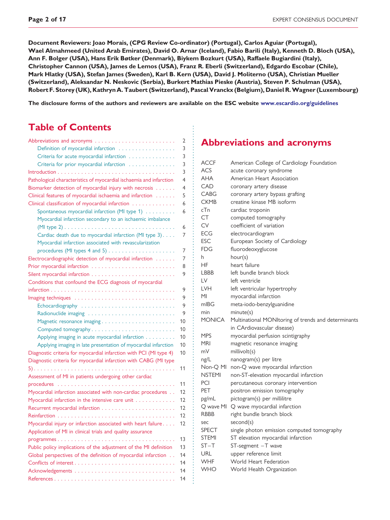Document Reviewers: Joao Morais, (CPG Review Co-ordinator) (Portugal), Carlos Aguiar (Portugal), Wael Almahmeed (United Arab Emirates), David O. Arnar (Iceland), Fabio Barili (Italy), Kenneth D. Bloch (USA), Ann F. Bolger (USA), Hans Erik Bøtker (Denmark), Biykem Bozkurt (USA), Raffaele Bugiardini (Italy), Christopher Cannon (USA), James de Lemos (USA), Franz R. Eberli (Switzerland), Edgardo Escobar (Chile), Mark Hlatky (USA), Stefan James (Sweden), Karl B. Kern (USA), David J. Moliterno (USA), Christian Mueller (Switzerland), Aleksandar N. Neskovic (Serbia), Burkert Mathias Pieske (Austria), Steven P. Schulman (USA), Robert F. Storey (UK), Kathryn A. Taubert (Switzerland), Pascal Vranckx (Belgium), Daniel R.Wagner (Luxembourg)

The disclosure forms of the authors and reviewers are available on the ESC website <www.escardio.org/guidelines>

# Table of Contents

|                                                                     | 2  |
|---------------------------------------------------------------------|----|
| Definition of myocardial infarction                                 | 3  |
| Criteria for acute myocardial infarction                            | 3  |
| Criteria for prior myocardial infarction                            | 3  |
|                                                                     | 3  |
| Pathological characteristics of myocardial ischaemia and infarction | 4  |
| Biomarker detection of myocardial injury with necrosis              | 4  |
| Clinical features of myocardial ischaemia and infarction            | 5  |
| Clinical classification of myocardial infarction                    | 6  |
| Spontaneous myocardial infarction (MI type 1)                       | 6  |
| Myocardial infarction secondary to an ischaemic imbalance           |    |
|                                                                     | 6  |
| Cardiac death due to myocardial infarction (MI type 3)              | 7  |
| Myocardial infarction associated with revascularization             |    |
| procedures (MI types $4$ and $5)$                                   | 7  |
| Electrocardiographic detection of myocardial infarction             | 7  |
|                                                                     | 8  |
|                                                                     | 9  |
| Conditions that confound the ECG diagnosis of myocardial            |    |
|                                                                     | 9  |
|                                                                     | 9  |
|                                                                     | 9  |
|                                                                     | 9  |
| Magnetic resonance imaging                                          | 10 |
| Computed tomography                                                 | 10 |
| Applying imaging in acute myocardial infarction                     | 10 |
| Applying imaging in late presentation of myocardial infarction      | 10 |
| Diagnostic criteria for myocardial infarction with PCI (MI type 4)  | 10 |
| Diagnostic criteria for myocardial infarction with CABG (MI type    |    |
|                                                                     | 11 |
| Assessment of MI in patients undergoing other cardiac               |    |
|                                                                     | 11 |
| Myocardial infarction associated with non-cardiac procedures        | 12 |
| Myocardial infarction in the intensive care unit                    | 12 |
|                                                                     | 12 |
|                                                                     | 12 |
| Myocardial injury or infarction associated with heart failure       | 12 |
| Application of MI in clinical trials and quality assurance          |    |
|                                                                     | 13 |
| Public policy implications of the adjustment of the MI definition   | 13 |
| Global perspectives of the definition of myocardial infarction      | 14 |
|                                                                     | 14 |
|                                                                     | 14 |
|                                                                     | 14 |

### Abbreviations and acronyms

| <b>ACCF</b>   | American College of Cardiology Foundation           |  |  |  |  |  |
|---------------|-----------------------------------------------------|--|--|--|--|--|
| ACS           | acute coronary syndrome                             |  |  |  |  |  |
| <b>AHA</b>    | American Heart Association                          |  |  |  |  |  |
| CAD           | coronary artery disease                             |  |  |  |  |  |
| CABG          | coronary artery bypass grafting                     |  |  |  |  |  |
| <b>CKMB</b>   | creatine kinase MB isoform                          |  |  |  |  |  |
| cTn           | cardiac troponin                                    |  |  |  |  |  |
| CT            | computed tomography                                 |  |  |  |  |  |
| <b>CV</b>     | coefficient of variation                            |  |  |  |  |  |
| <b>ECG</b>    | electrocardiogram                                   |  |  |  |  |  |
| ESC           | European Society of Cardiology                      |  |  |  |  |  |
| FDG           | fluorodeoxyglucose                                  |  |  |  |  |  |
| h             | hour(s)                                             |  |  |  |  |  |
| ΗF            | heart failure                                       |  |  |  |  |  |
| <b>LBBB</b>   | left bundle branch block                            |  |  |  |  |  |
| LV            | left ventricle                                      |  |  |  |  |  |
| <b>LVH</b>    | left ventricular hypertrophy                        |  |  |  |  |  |
| MI            | myocardial infarction                               |  |  |  |  |  |
| mIBG          | meta-iodo-benzylguanidine                           |  |  |  |  |  |
| min           | minute(s)                                           |  |  |  |  |  |
| <b>MONICA</b> | Multinational MONItoring of trends and determinants |  |  |  |  |  |
|               | in CArdiovascular disease)                          |  |  |  |  |  |
| <b>MPS</b>    | myocardial perfusion scintigraphy                   |  |  |  |  |  |
| <b>MRI</b>    | magnetic resonance imaging                          |  |  |  |  |  |
| mV            | millivolt(s)                                        |  |  |  |  |  |
| ng/L          | nanogram(s) per litre                               |  |  |  |  |  |
| Non-Q MI      | non-Q wave myocardial infarction                    |  |  |  |  |  |
| <b>NSTEMI</b> | non-ST-elevation myocardial infarction              |  |  |  |  |  |
| PCI           | percutaneous coronary intervention                  |  |  |  |  |  |
| PET           | positron emission tomography                        |  |  |  |  |  |
| pg/mL         | pictogram(s) per millilitre                         |  |  |  |  |  |
| Q wave MI     | Q wave myocardial infarction                        |  |  |  |  |  |
| <b>RBBB</b>   | right bundle branch block                           |  |  |  |  |  |
| sec           | second(s)                                           |  |  |  |  |  |
| <b>SPECT</b>  | single photon emission computed tomography          |  |  |  |  |  |
| STEMI         | ST elevation myocardial infarction                  |  |  |  |  |  |
| $ST-T$        | ST-segment -T wave                                  |  |  |  |  |  |
| URL           | upper reference limit                               |  |  |  |  |  |
| <b>WHF</b>    | World Heart Federation                              |  |  |  |  |  |
| <b>WHO</b>    | World Health Organization                           |  |  |  |  |  |
|               |                                                     |  |  |  |  |  |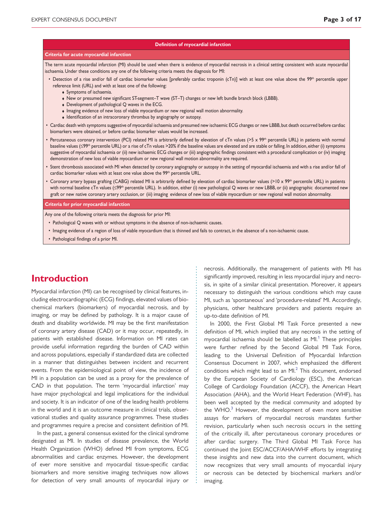#### **Definition of myocardial infarction Criteria for acute myocardial infarction** The term acute myocardial infarction (MI) should be used when there is evidence of myocardial necrosis in a clinical setting consistent with acute myocardial ischaemia. Under these conditions any one of the following criteria meets the diagnosis for MI: • Detection of a rise and/or fall of cardiac biomarker values [preferably cardiac troponin (cTn)] with at least one value above the 99<sup>th</sup> percentile upper reference limit (URL) and with at least one of the following: Symptoms of ischaemia. New or presumed new significant ST-segment–T wave (ST–T) changes or new left bundle branch block (LBBB). Development of pathological Q waves in the ECG. Imaging evidence of new loss of viable myocardium or new regional wall motion abnormality.  $\bullet$  Identification of an intracoronary thrombus by angiography or autopsy. • Cardiac death with symptoms suggestive of myocardial ischaemia and presumed new ischaemic ECG changes or new LBBB,but death occurred before cardiac biomarkers were obtained, or before cardiac biomarker values would be increased. • Percutaneous coronary intervention (PCI) related MI is arbitrarily defined by elevation of cTn values (>5 x 99<sup>th</sup> percentile URL) in patients with normal baseline values (≤99<sup>th</sup> percentile URL) or a rise of cTn values >20% if the baseline values are elevated and are stable or falling. In addition, either (i) symptoms suggestive of myocardial ischaemia or (ii) new ischaemic ECG changes or (iii) angiographic findings consistent with a procedural complication or (iv) imaging demonstration of new loss of viable myocardium or new regional wall motion abnormality are required. • Stent thrombosis associated with MI when detected by coronary angiography or autopsy in the setting of myocardial ischaemia and with a rise and/or fall of cardiac biomarker values with at least one value above the 99<sup>th</sup> percentile URL • Coronary artery bypass grafting (CABG) related MI is arbitrarily defined by elevation of cardiac biomarker values (>10 x 99<sup>th</sup> percentile URL) in patients with normal baseline cTn values (≤99<sup>th</sup> percentile URL). In addition, either (i) new pathological Q waves or new LBBB, or (ii) angiographic documented new graft or new native coronary artery occlusion, or (iii) imaging evidence of new loss of viable myocardium or new regional wall motion abnormality. **Criteria for prior myocardial infarction** Any one of the following criteria meets the diagnosis for prior MI: • Pathological Q waves with or without symptoms in the absence of non-ischaemic causes. • Imaging evidence of a region of loss of viable myocardium that is thinned and fails to contract, in the absence of a non-ischaemic cause. • Pathological findings of a prior MI.

# Introduction

Myocardial infarction (MI) can be recognised by clinical features, including electrocardiographic (ECG) findings, elevated values of biochemical markers (biomarkers) of myocardial necrosis, and by imaging, or may be defined by pathology. It is a major cause of death and disability worldwide. MI may be the first manifestation of coronary artery disease (CAD) or it may occur, repeatedly, in patients with established disease. Information on MI rates can provide useful information regarding the burden of CAD within and across populations, especially if standardized data are collected in a manner that distinguishes between incident and recurrent events. From the epidemiological point of view, the incidence of MI in a population can be used as a proxy for the prevalence of CAD in that population. The term 'myocardial infarction' may have major psychological and legal implications for the individual and society. It is an indicator of one of the leading health problems in the world and it is an outcome measure in clinical trials, observational studies and quality assurance programmes. These studies and programmes require a precise and consistent definition of MI.

In the past, a general consensus existed for the clinical syndrome designated as MI. In studies of disease prevalence, the World Health Organization (WHO) defined MI from symptoms, ECG abnormalities and cardiac enzymes. However, the development of ever more sensitive and myocardial tissue-specific cardiac biomarkers and more sensitive imaging techniques now allows for detection of very small amounts of myocardial injury or

necrosis. Additionally, the management of patients with MI has significantly improved, resulting in less myocardial injury and necrosis, in spite of a similar clinical presentation. Moreover, it appears necessary to distinguish the various conditions which may cause MI, such as 'spontaneous' and 'procedure-related' MI. Accordingly, physicians, other healthcare providers and patients require an up-to-date definition of MI.

In 2000, the First Global MI Task Force presented a new definition of MI, which implied that any necrosis in the setting of myocardial ischaemia should be labelled as  $MI<sup>1</sup>$  These principles were further refined by the Second Global MI Task Force, leading to the Universal Definition of Myocardial Infarction Consensus Document in 2007, which emphasized the different conditions which might lead to an MI.<sup>[2](#page-13-0)</sup> This document, endorsed by the European Society of Cardiology (ESC), the American College of Cardiology Foundation (ACCF), the American Heart Association (AHA), and the World Heart Federation (WHF), has been well accepted by the medical community and adopted by the WHO. $3$  However, the development of even more sensitive assays for markers of myocardial necrosis mandates further revision, particularly when such necrosis occurs in the setting of the critically ill, after percutaneous coronary procedures or after cardiac surgery. The Third Global MI Task Force has continued the Joint ESC/ACCF/AHA/WHF efforts by integrating these insights and new data into the current document, which now recognizes that very small amounts of myocardial injury or necrosis can be detected by biochemical markers and/or imaging.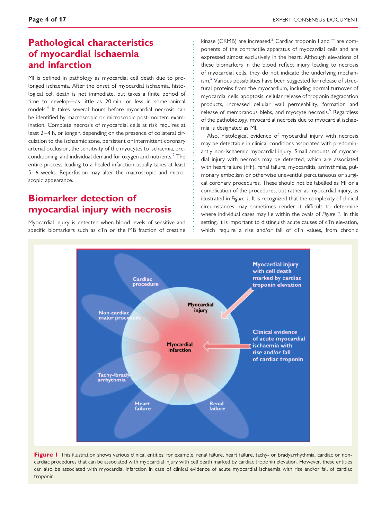# Pathological characteristics of myocardial ischaemia and infarction

MI is defined in pathology as myocardial cell death due to prolonged ischaemia. After the onset of myocardial ischaemia, histological cell death is not immediate, but takes a finite period of time to develop—as little as 20 min, or less in some animal models.[4](#page-14-0) It takes several hours before myocardial necrosis can be identified by macroscopic or microscopic post-mortem examination. Complete necrosis of myocardial cells at risk requires at least 2–4 h, or longer, depending on the presence of collateral circulation to the ischaemic zone, persistent or intermittent coronary arterial occlusion, the sensitivity of the myocytes to ischaemia, preconditioning, and individual demand for oxygen and nutrients. $2$  The entire process leading to a healed infarction usually takes at least 5 –6 weeks. Reperfusion may alter the macroscopic and microscopic appearance.

# Biomarker detection of myocardial injury with necrosis

Myocardial injury is detected when blood levels of sensitive and specific biomarkers such as cTn or the MB fraction of creatine

kinase (CKMB) are increased.<sup>[2](#page-13-0)</sup> Cardiac troponin I and T are components of the contractile apparatus of myocardial cells and are expressed almost exclusively in the heart. Although elevations of these biomarkers in the blood reflect injury leading to necrosis of myocardial cells, they do not indicate the underlying mechanism.<sup>5</sup> Various possibilities have been suggested for release of structural proteins from the myocardium, including normal turnover of myocardial cells, apoptosis, cellular release of troponin degradation products, increased cellular wall permeability, formation and release of membranous blebs, and myocyte necrosis.<sup>6</sup> Regardless of the pathobiology, myocardial necrosis due to myocardial ischaemia is designated as MI.

Also, histological evidence of myocardial injury with necrosis may be detectable in clinical conditions associated with predominantly non-ischaemic myocardial injury. Small amounts of myocardial injury with necrosis may be detected, which are associated with heart failure (HF), renal failure, myocarditis, arrhythmias, pulmonary embolism or otherwise uneventful percutaneous or surgical coronary procedures. These should not be labelled as MI or a complication of the procedures, but rather as myocardial injury, as illustrated in Figure 1. It is recognized that the complexity of clinical circumstances may sometimes render it difficult to determine where individual cases may lie within the ovals of Figure 1. In this setting, it is important to distinguish acute causes of cTn elevation, which require a rise and/or fall of cTn values, from chronic



Figure I This illustration shows various clinical entities: for example, renal failure, heart failure, tachy- or bradyarrhythmia, cardiac or noncardiac procedures that can be associated with myocardial injury with cell death marked by cardiac troponin elevation. However, these entities can also be associated with myocardial infarction in case of clinical evidence of acute myocardial ischaemia with rise and/or fall of cardiac troponin.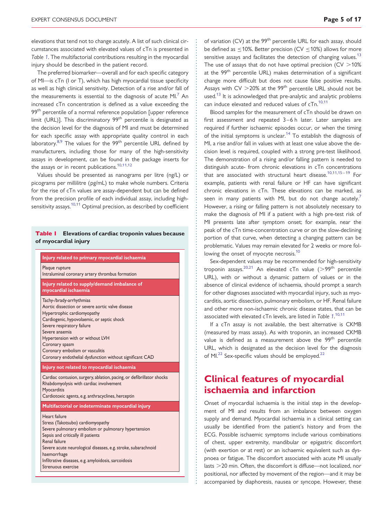elevations that tend not to change acutely. A list of such clinical circumstances associated with elevated values of cTn is presented in Table 1. The multifactorial contributions resulting in the myocardial injury should be described in the patient record.

The preferred biomarker—overall and for each specific category of MI—is cTn (I or T), which has high myocardial tissue specificity as well as high clinical sensitivity. Detection of a rise and/or fall of the measurements is essential to the diagnosis of acute  $MI<sup>7</sup>$  $MI<sup>7</sup>$  $MI<sup>7</sup>$  An increased cTn concentration is defined as a value exceeding the 99<sup>th</sup> percentile of a normal reference population [upper reference limit (URL)]. This discriminatory  $99<sup>th</sup>$  percentile is designated as the decision level for the diagnosis of MI and must be determined for each specific assay with appropriate quality control in each laboratory.<sup>8,9</sup> The values for the 99<sup>th</sup> percentile URL defined by manufacturers, including those for many of the high-sensitivity assays in development, can be found in the package inserts for the assays or in recent publications.<sup>[10,11,12](#page-14-0)</sup>

Values should be presented as nanograms per litre (ng/L) or picograms per millilitre (pg/mL) to make whole numbers. Criteria for the rise of cTn values are assay-dependent but can be defined from the precision profile of each individual assay, including high-sensitivity assays.<sup>[10,11](#page-14-0)</sup> Optimal precision, as described by coefficient

#### Table I Elevations of cardiac troponin values because of myocardial injury

**Injury related to primary myocardial ischaemia** Plaque rupture Intraluminal coronary artery thrombus formation **Injury related to supply/demand imbalance of myocardial ischaemia** Tachy-/brady-arrhythmias Aortic dissection or severe aortic valve disease Hypertrophic cardiomyopathy Cardiogenic, hypovolaemic, or septic shock Severe respiratory failure Severe anaemia Hypertension with or without LVH Coronary spasm Coronary embolism or vasculitis Coronary endothelial dysfunction without significant CAD **Injury not related to myocardial ischaemia** Cardiac contusion, surgery, ablation, pacing, or defibrillator shocks Rhabdomyolysis with cardiac involvement **Myocarditis** Cardiotoxic agents, e.g. anthracyclines, herceptin **Multifactorial or indeterminate myocardial injury** Heart failure Stress (Takotsubo) cardiomyopathy Severe pulmonary embolism or pulmonary hypertension Sepsis and critically ill patients Renal failure Severe acute neurological diseases, e.g. stroke, subarachnoid haemorrhage Infiltrative diseases, e.g. amyloidosis, sarcoidosis Strenuous exercise

of variation (CV) at the 99<sup>th</sup> percentile URL for each assay, should be defined as ≤10%. Better precision (CV ≤10%) allows for more sensitive assays and facilitates the detection of changing values.<sup>13</sup> The use of assays that do not have optimal precision  $(CV > 10\%)$ at the 99<sup>th</sup> percentile URL) makes determination of a significant change more difficult but does not cause false positive results. Assays with CV  $>$  20% at the 99<sup>th</sup> percentile URL should not be used.[13](#page-14-0) It is acknowledged that pre-analytic and analytic problems can induce elevated and reduced values of cTn.<sup>10,11</sup>

Blood samples for the measurement of cTn should be drawn on first assessment and repeated 3 –6 h later. Later samples are required if further ischaemic episodes occur, or when the timing of the initial symptoms is unclear.<sup>[14](#page-14-0)</sup> To establish the diagnosis of MI, a rise and/or fall in values with at least one value above the decision level is required, coupled with a strong pre-test likelihood. The demonstration of a rising and/or falling pattern is needed to distinguish acute- from chronic elevations in cTn concentrations that are associated with structural heart disease.<sup>[10,11,15](#page-14-0)-[19](#page-14-0)</sup> For example, patients with renal failure or HF can have significant chronic elevations in cTn. These elevations can be marked, as seen in many patients with MI, but do not change acutely.<sup>[7](#page-14-0)</sup> However, a rising or falling pattern is not absolutely necessary to make the diagnosis of MI if a patient with a high pre-test risk of MI presents late after symptom onset; for example, near the peak of the cTn time-concentration curve or on the slow-declining portion of that curve, when detecting a changing pattern can be problematic. Values may remain elevated for 2 weeks or more fol-lowing the onset of myocyte necrosis.<sup>[10](#page-14-0)</sup>

Sex-dependent values may be recommended for high-sensitivity troponin assays.<sup>[20,21](#page-14-0)</sup> An elevated cTn value ( $>99<sup>th</sup>$  percentile URL), with or without a dynamic pattern of values or in the absence of clinical evidence of ischaemia, should prompt a search for other diagnoses associated with myocardial injury, such as myocarditis, aortic dissection, pulmonary embolism, or HF. Renal failure and other more non-ischaemic chronic disease states, that can be associated with elevated c $T$ n levels, are listed in  $Table\ 1.^{10,11}$  $Table\ 1.^{10,11}$  $Table\ 1.^{10,11}$ 

If a cTn assay is not available, the best alternative is CKMB (measured by mass assay). As with troponin, an increased CKMB value is defined as a measurement above the 99<sup>th</sup> percentile URL, which is designated as the decision level for the diagnosis of MI.<sup>[22](#page-14-0)</sup> Sex-specific values should be employed.<sup>22</sup>

# Clinical features of myocardial ischaemia and infarction

Onset of myocardial ischaemia is the initial step in the development of MI and results from an imbalance between oxygen supply and demand. Myocardial ischaemia in a clinical setting can usually be identified from the patient's history and from the ECG. Possible ischaemic symptoms include various combinations of chest, upper extremity, mandibular or epigastric discomfort (with exertion or at rest) or an ischaemic equivalent such as dyspnoea or fatigue. The discomfort associated with acute MI usually lasts  $>$  20 min. Often, the discomfort is diffuse—not localized, nor positional, nor affected by movement of the region—and it may be accompanied by diaphoresis, nausea or syncope. However, these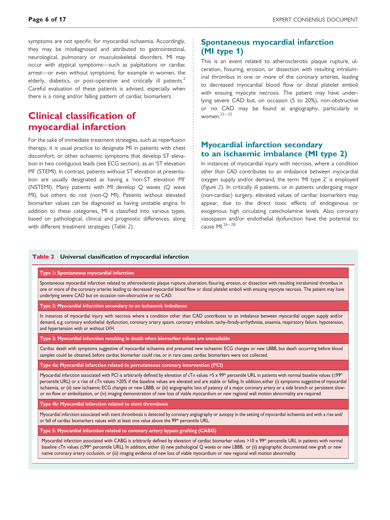symptoms are not specific for myocardial ischaemia. Accordingly, they may be misdiagnosed and attributed to gastrointestinal, neurological, pulmonary or musculoskeletal disorders. MI may occur with atypical symptoms—such as palpitations or cardiac arrest—or even without symptoms; for example in women, the elderly, diabetics, or post-operative and critically ill patients.<sup>[2](#page-13-0)</sup> Careful evaluation of these patients is advised, especially when there is a rising and/or falling pattern of cardiac biomarkers.

# Clinical classification of myocardial infarction

For the sake of immediate treatment strategies, such as reperfusion therapy, it is usual practice to designate MI in patients with chest discomfort, or other ischaemic symptoms that develop ST elevation in two contiguous leads (see ECG section), as an 'ST elevation MI' (STEMI). In contrast, patients without ST elevation at presentation are usually designated as having a 'non-ST elevation MI' (NSTEMI). Many patients with MI develop Q waves (Q wave MI), but others do not (non-Q MI). Patients without elevated biomarker values can be diagnosed as having unstable angina. In addition to these categories, MI is classified into various types, based on pathological, clinical and prognostic differences, along with different treatment strategies (Table 2).

#### Spontaneous myocardial infarction (MI type 1)

This is an event related to atherosclerotic plaque rupture, ulceration, fissuring, erosion, or dissection with resulting intraluminal thrombus in one or more of the coronary arteries, leading to decreased myocardial blood flow or distal platelet emboli with ensuing myocyte necrosis. The patient may have underlying severe CAD but, on occasion (5 to 20%), non-obstructive or no CAD may be found at angiography, particularly in women. $23 - 25$  $23 - 25$  $23 - 25$ 

#### Myocardial infarction secondary to an ischaemic imbalance (MI type 2)

In instances of myocardial injury with necrosis, where a condition other than CAD contributes to an imbalance between myocardial oxygen supply and/or demand, the term 'MI type 2' is employed (Figure [2](#page-6-0)). In critically ill patients, or in patients undergoing major (non-cardiac) surgery, elevated values of cardiac biomarkers may appear, due to the direct toxic effects of endogenous or exogenous high circulating catecholamine levels. Also coronary vasospasm and/or endothelial dysfunction have the potential to cause  $MI^{26-28}$  $MI^{26-28}$  $MI^{26-28}$  $MI^{26-28}$  $MI^{26-28}$ 

#### Table 2 Universal classification of myocardial infarction

#### **Type 1: Spontaneous myocardial infarction**

Spontaneous myocardial infarction related to atherosclerotic plaque rupture, ulceration, fissuring, erosion, or dissection with resulting intraluminal thrombus in one or more of the coronary arteries leading to decreased myocardial blood flow or distal platelet emboli with ensuing myocyte necrosis. The patient may have underlying severe CAD but on occasion non-obstructive or no CAD.

**Type 2: Myocardial infarction secondary to an ischaemic imbalance**

In instances of myocardial injury with necrosis where a condition other than CAD contributes to an imbalance between myocardial oxygen supply and/or demand, e.g. coronary endothelial dysfunction, coronary artery spasm, coronary embolism, tachy-/brady-arrhythmias, anaemia, respiratory failure, hypotension, and hypertension with or without LVH.

**Type 3: Myocardial infarction resulting in death when biomarker values are unavailable**

Cardiac death with symptoms suggestive of myocardial ischaemia and presumed new ischaemic ECG changes or new LBBB, but death occurring before blood samples could be obtained, before cardiac biomarker could rise, or in rare cases cardiac biomarkers were not collected.

**Type 4a: Myocardial infarction related to percutaneous coronary intervention (PCI)** 

Myocardial infarction associated with PCI is arbitrarily defined by elevation of cTn values >5 x 99<sup>th</sup> percentile URL in patients with normal baseline values ( $\leq$ 99<sup>th</sup> percentile URL) or a rise of cTn values >20% if the baseline values are elevated and are stable or falling. In addition,either (i) symptoms suggestive of myocardial ischaemia, or (ii) new ischaemic ECG changes or new LBBB, or (iii) angiographic loss of patency of a major coronary artery or a side branch or persistent slowor no-flow or embolization, or (iv) imaging demonstration of new loss of viable myocardium or new regional wall motion abnormality are required.

**Type 4b: Myocardial infarction related to stent thrombosis**

Myocardial infarction associated with stent thrombosis is detected by coronary angiography or autopsy in the setting of myocardial ischaemia and with a rise and/ or fall of cardiac biomarkers values with at least one value above the 99<sup>th</sup> percentile URL.

**Type 5: Myocardial infarction related to coronary artery bypass grafting (CABG)** 

Myocardial infarction associated with CABG is arbitrarily defined by elevation of cardiac biomarker values >10 x 99<sup>th</sup> percentile URL in patients with normal baseline cTn values (<99<sup>th</sup> percentile URL). In addition, either (i) new pathological Q waves or new LBBB, or (ii) angiographic documented new graft or new native coronary artery occlusion, or (iii) imaging evidence of new loss of viable myocardium or new regional wall motion abnormality.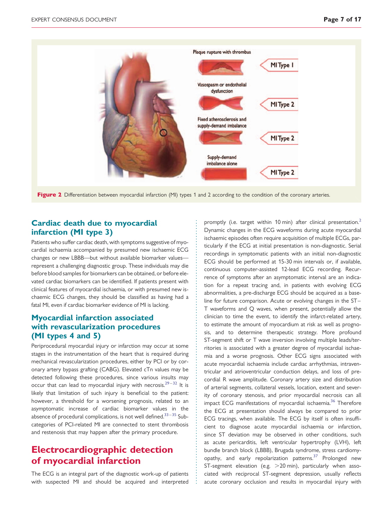<span id="page-6-0"></span>

Figure 2 Differentiation between myocardial infarction (MI) types 1 and 2 according to the condition of the coronary arteries.

#### Cardiac death due to myocardial infarction (MI type 3)

Patients who suffer cardiac death, with symptoms suggestive of myocardial ischaemia accompanied by presumed new ischaemic ECG changes or new LBBB—but without available biomarker values represent a challenging diagnostic group. These individuals may die before blood samples for biomarkers can be obtained, or before elevated cardiac biomarkers can be identified. If patients present with clinical features of myocardial ischaemia, or with presumed new ischaemic ECG changes, they should be classified as having had a fatal MI, even if cardiac biomarker evidence of MI is lacking.

#### Myocardial infarction associated with revascularization procedures (MI types 4 and 5)

Periprocedural myocardial injury or infarction may occur at some stages in the instrumentation of the heart that is required during mechanical revascularization procedures, either by PCI or by coronary artery bypass grafting (CABG). Elevated cTn values may be detected following these procedures, since various insults may occur that can lead to myocardial injury with necrosis.<sup>[29](#page-14-0)-[32](#page-14-0)</sup> It is likely that limitation of such injury is beneficial to the patient: however, a threshold for a worsening prognosis, related to an asymptomatic increase of cardiac biomarker values in the absence of procedural complications, is not well defined. $33-35$  $33-35$  $33-35$  Subcategories of PCI-related MI are connected to stent thrombosis and restenosis that may happen after the primary procedure.

# Electrocardiographic detection of myocardial infarction

The ECG is an integral part of the diagnostic work-up of patients with suspected MI and should be acquired and interpreted promptly (i.e. target within 10 min) after clinical presentation.<sup>[2](#page-13-0)</sup> Dynamic changes in the ECG waveforms during acute myocardial ischaemic episodes often require acquisition of multiple ECGs, particularly if the ECG at initial presentation is non-diagnostic. Serial recordings in symptomatic patients with an initial non-diagnostic ECG should be performed at 15-30 min intervals or, if available, continuous computer-assisted 12-lead ECG recording. Recurrence of symptoms after an asymptomatic interval are an indication for a repeat tracing and, in patients with evolving ECG abnormalities, a pre-discharge ECG should be acquired as a baseline for future comparison. Acute or evolving changes in the ST– T waveforms and Q waves, when present, potentially allow the clinician to time the event, to identify the infarct-related artery, to estimate the amount of myocardium at risk as well as prognosis, and to determine therapeutic strategy. More profound ST-segment shift or T wave inversion involving multiple leads/territories is associated with a greater degree of myocardial ischaemia and a worse prognosis. Other ECG signs associated with acute myocardial ischaemia include cardiac arrhythmias, intraventricular and atrioventricular conduction delays, and loss of precordial R wave amplitude. Coronary artery size and distribution of arterial segments, collateral vessels, location, extent and severity of coronary stenosis, and prior myocardial necrosis can all impact ECG manifestations of myocardial ischaemia.<sup>36</sup> Therefore the ECG at presentation should always be compared to prior ECG tracings, when available. The ECG by itself is often insufficient to diagnose acute myocardial ischaemia or infarction, since ST deviation may be observed in other conditions, such as acute pericarditis, left ventricular hypertrophy (LVH), left bundle branch block (LBBB), Brugada syndrome, stress cardiomy-opathy, and early repolarization patterns.<sup>[37](#page-14-0)</sup> Prolonged new ST-segment elevation (e.g.  $>$  20 min), particularly when associated with reciprocal ST-segment depression, usually reflects acute coronary occlusion and results in myocardial injury with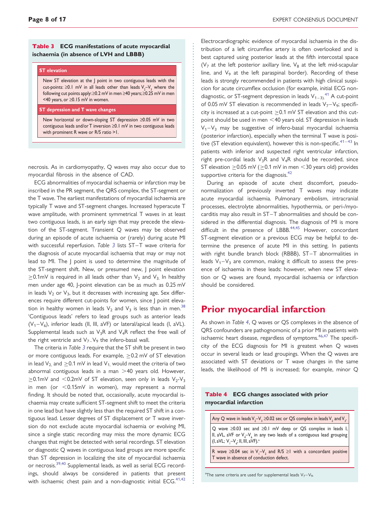#### Table 3 ECG manifestations of acute myocardial ischaemia (in absence of LVH and LBBB)

#### **ST elevation**

New ST elevation at the J point in two contiguous leads with the cut-points:  $\geq 0.1$  mV in all leads other than leads  $V_2 - V_3$  where the following cut points apply:≥0.2 mV in men ≥40 years;≥0.25 mV in men <40 years, or ≥0.15 mV in women.

**ST depression and T wave changes**

New horizontal or down-sloping ST depression ≥0.05 mV in two contiguous leads and/or T inversion ≥0.1 mV in two contiguous leads with prominent R wave or R/S ratio >1.

necrosis. As in cardiomyopathy, Q waves may also occur due to myocardial fibrosis in the absence of CAD.

ECG abnormalities of myocardial ischaemia or infarction may be inscribed in the PR segment, the QRS complex, the ST-segment or the T wave. The earliest manifestations of myocardial ischaemia are typically T wave and ST-segment changes. Increased hyperacute T wave amplitude, with prominent symmetrical T waves in at least two contiguous leads, is an early sign that may precede the elevation of the ST-segment. Transient Q waves may be observed during an episode of acute ischaemia or (rarely) during acute MI with successful reperfusion. Table 3 lists ST–T wave criteria for the diagnosis of acute myocardial ischaemia that may or may not lead to MI. The J point is used to determine the magnitude of the ST-segment shift. New, or presumed new, J point elevation  $\geq$ 0.1mV is required in all leads other than V<sub>2</sub> and V<sub>3.</sub> In healthy men under age 40, J-point elevation can be as much as 0.25 mV in leads  $V_2$  or  $V_3$ , but it decreases with increasing age. Sex differences require different cut-points for women, since J point elevation in healthy women in leads  $V_2$  and  $V_3$  is less than in men.<sup>[38](#page-14-0)</sup> 'Contiguous leads' refers to lead groups such as anterior leads  $(V_1 - V_6)$ , inferior leads (II, III, aVF) or lateral/apical leads (I, aVL). Supplemental leads such as  $V_3R$  and  $V_4R$  reflect the free wall of the right ventricle and  $V_{7}$ - $V_{9}$  the infero-basal wall.

The criteria in Table 3 require that the ST shift be present in two or more contiguous leads. For example,  $\geq$  0.2 mV of ST elevation in lead  $V_2$  and  $\geq$  0.1 mV in lead  $V_1$  would meet the criteria of two abnormal contiguous leads in a man  $>40$  years old. However,  $\geq$ 0.1mV and <0.2mV of ST elevation, seen only in leads V<sub>2</sub>-V<sub>3</sub> in men (or  $<$  0.15mV in women), may represent a normal finding. It should be noted that, occasionally, acute myocardial ischaemia may create sufficient ST-segment shift to meet the criteria in one lead but have slightly less than the required ST shift in a contiguous lead. Lesser degrees of ST displacement or T wave inversion do not exclude acute myocardial ischaemia or evolving MI, since a single static recording may miss the more dynamic ECG changes that might be detected with serial recordings. ST elevation or diagnostic Q waves in contiguous lead groups are more specific than ST depression in localizing the site of myocardial ischaemia or necrosis.[39](#page-14-0),[40](#page-14-0) Supplemental leads, as well as serial ECG recordings, should always be considered in patients that present with ischaemic chest pain and a non-diagnostic initial ECG. $41,42$  $41,42$ 

Electrocardiographic evidence of myocardial ischaemia in the distribution of a left circumflex artery is often overlooked and is best captured using posterior leads at the fifth intercostal space ( $V_7$  at the left posterior axillary line,  $V_8$  at the left mid-scapular line, and V<sub>9</sub> at the left paraspinal border). Recording of these leads is strongly recommended in patients with high clinical suspicion for acute circumflex occlusion (for example, initial ECG nondiagnostic, or ST-segment depression in leads  $V_{1-3}$ , <sup>[41](#page-14-0)</sup> A cut-point of 0.05 mV ST elevation is recommended in leads  $V_7 - V_9$ ; specificity is increased at a cut-point  $> 0.1$  mV ST elevation and this cutpoint should be used in men  $<$  40 years old. ST depression in leads  $V_1 - V_3$  may be suggestive of infero-basal myocardial ischaemia (posterior infarction), especially when the terminal T wave is posi-tive (ST elevation equivalent), however this is non-specific.<sup>[41](#page-14-0)-[43](#page-15-0)</sup> In patients with inferior and suspected right ventricular infarction, right pre-cordial leads  $V_3R$  and  $V_4R$  should be recorded, since ST elevation  $\geq$  0.05 mV ( $\geq$  0.1 mV in men < 30 years old) provides supportive criteria for the diagnosis. $42$ 

During an episode of acute chest discomfort, pseudonormalization of previously inverted T waves may indicate acute myocardial ischaemia. Pulmonary embolism, intracranial processes, electrolyte abnormalities, hypothermia, or peri-/myocarditis may also result in ST–T abnormalities and should be considered in the differential diagnosis. The diagnosis of MI is more difficult in the presence of LBBB.<sup>[44,45](#page-15-0)</sup> However, concordant ST-segment elevation or a previous ECG may be helpful to determine the presence of acute MI in this setting. In patients with right bundle branch block (RBBB), ST–T abnormalities in leads  $V_1 - V_3$  are common, making it difficult to assess the presence of ischaemia in these leads: however, when new ST elevation or Q waves are found, myocardial ischaemia or infarction should be considered.

### Prior myocardial infarction

As shown in Table 4, Q waves or QS complexes in the absence of QRS confounders are pathognomonic of a prior MI in patients with ischaemic heart disease, regardless of symptoms.<sup>[46,47](#page-15-0)</sup> The specificity of the ECG diagnosis for MI is greatest when Q waves occur in several leads or lead groupings. When the Q waves are associated with ST deviations or T wave changes in the same leads, the likelihood of MI is increased; for example, minor Q

#### Table 4 ECG changes associated with prior myocardial infarction

Any Q wave in leads  $\vee_{_2} \!-\! \vee_{_3} \geq$  0.02 sec or QS complex in leads  $\vee_{_2}$  and  $\vee_{_3}$ .

Q wave ≥0.03 sec and ≥0.1 mV deep or QS complex in leads I, II, aVL, aVF or  $\vee_{\mathbf{4}}\mathsf{-V}_{\mathbf{6}}$  in any two leads of a contiguous lead grouping (l, aVL;  $V_1 - V_6$ ; ll, lll, aVF).<sup>3</sup>

R wave ≥0.04 sec in  $V_1$ - $V_2$  and R/S ≥1 with a concordant positive T wave in absence of conduction defect.

<sup>a</sup>The same criteria are used for supplemental leads  $V_7 - V_9$ .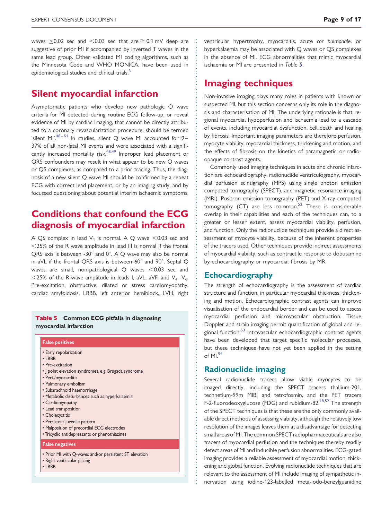waves  $\geq$  0.02 sec and < 0.03 sec that are  $\geq$  0.1 mV deep are suggestive of prior MI if accompanied by inverted T waves in the same lead group. Other validated MI coding algorithms, such as the Minnesota Code and WHO MONICA, have been used in epidemiological studies and clinical trials.<sup>[3](#page-14-0)</sup>

### Silent myocardial infarction

Asymptomatic patients who develop new pathologic Q wave criteria for MI detected during routine ECG follow-up, or reveal evidence of MI by cardiac imaging, that cannot be directly attributed to a coronary revascularization procedure, should be termed 'silent MI'.[48](#page-15-0)-[51](#page-15-0) In studies, silent Q wave MI accounted for  $9-$ 37% of all non-fatal MI events and were associated with a signifi-cantly increased mortality risk.<sup>48,[49](#page-15-0)</sup> Improper lead placement or QRS confounders may result in what appear to be new Q waves or QS complexes, as compared to a prior tracing. Thus, the diagnosis of a new silent Q wave MI should be confirmed by a repeat ECG with correct lead placement, or by an imaging study, and by focussed questioning about potential interim ischaemic symptoms.

# Conditions that confound the ECG diagnosis of myocardial infarction

A QS complex in lead  $V_1$  is normal. A Q wave <0.03 sec and  $<$  25% of the R wave amplitude in lead III is normal if the frontal QRS axis is between -30 $^{\circ}$  and 0 $^{\circ}$ . A Q wave may also be normal in aVL if the frontal QRS axis is between  $60^{\circ}$  and  $90^{\circ}$ . Septal Q waves are small, non-pathological  $Q$  waves  $< 0.03$  sec and  $\leq$  25% of the R-wave amplitude in leads I, aVL, aVF, and V<sub>4</sub>-V<sub>6</sub>. Pre-excitation, obstructive, dilated or stress cardiomyopathy, cardiac amyloidosis, LBBB, left anterior hemiblock, LVH, right

#### Table 5 Common ECG pitfalls in diagnosing myocardial infarction

| <b>False positives</b>                                 |
|--------------------------------------------------------|
| • Early repolarization                                 |
| $\cdot$ LBBB                                           |
| • Pre-excitation                                       |
| ·   point elevation syndromes, e.g. Brugada syndrome   |
| • Peri-/myocarditis                                    |
| • Pulmonary embolism                                   |
| · Subarachnoid haemorrhage                             |
| · Metabolic disturbances such as hyperkalaemia         |
| • Cardiomyopathy                                       |
| • Lead transposition                                   |
| • Cholecystitis                                        |
| • Persistent juvenile pattern                          |
| • Malposition of precordial ECG electrodes             |
| • Tricyclic antidepressants or phenothiazines          |
| <b>False negatives</b>                                 |
| • Prior MI with Q-waves and/or persistent ST elevation |
| • Right ventricular pacing                             |
| <b>I BBB</b>                                           |

ventricular hypertrophy, myocarditis, acute cor pulmonale, or hyperkalaemia may be associated with Q waves or QS complexes in the absence of MI. ECG abnormalities that mimic myocardial ischaemia or MI are presented in Table 5.

### Imaging techniques

Non-invasive imaging plays many roles in patients with known or suspected MI, but this section concerns only its role in the diagnosis and characterisation of MI. The underlying rationale is that regional myocardial hypoperfusion and ischaemia lead to a cascade of events, including myocardial dysfunction, cell death and healing by fibrosis. Important imaging parameters are therefore perfusion, myocyte viability, myocardial thickness, thickening and motion, and the effects of fibrosis on the kinetics of paramagnetic or radioopaque contrast agents.

Commonly used imaging techniques in acute and chronic infarction are echocardiography, radionuclide ventriculography, myocardial perfusion scintigraphy (MPS) using single photon emission computed tomography (SPECT), and magnetic resonance imaging (MRI). Positron emission tomography (PET) and X-ray computed tomography (CT) are less common. $52$  There is considerable overlap in their capabilities and each of the techniques can, to a greater or lesser extent, assess myocardial viability, perfusion, and function. Only the radionuclide techniques provide a direct assessment of myocyte viability, because of the inherent properties of the tracers used. Other techniques provide indirect assessments of myocardial viability, such as contractile response to dobutamine by echocardiography or myocardial fibrosis by MR.

#### Echocardiography

The strength of echocardiography is the assessment of cardiac structure and function, in particular myocardial thickness, thickening and motion. Echocardiographic contrast agents can improve visualisation of the endocardial border and can be used to assess myocardial perfusion and microvascular obstruction. Tissue Doppler and strain imaging permit quantification of global and regional function.[53](#page-15-0) Intravascular echocardiographic contrast agents have been developed that target specific molecular processes, but these techniques have not yet been applied in the setting of ML $^{54}$  $^{54}$  $^{54}$ 

#### Radionuclide imaging

Several radionuclide tracers allow viable myocytes to be imaged directly, including the SPECT tracers thallium-201, technetium-99m MIBI and tetrofosmin, and the PET tracers F-2-fluorodeoxyglucose (FDG) and rubidium-82.<sup>18[,52](#page-15-0)</sup> The strength of the SPECT techniques is that these are the only commonly available direct methods of assessing viability, although the relatively low resolution of the images leaves them at a disadvantage for detecting small areas of MI. The common SPECT radiopharmaceuticals are also tracers of myocardial perfusion and the techniques thereby readily detect areas of MI and inducible perfusion abnormalities. ECG-gated imaging provides a reliable assessment of myocardial motion, thickening and global function. Evolving radionuclide techniques that are relevant to the assessment of MI include imaging of sympathetic innervation using iodine-123-labelled meta-iodo-benzylguanidine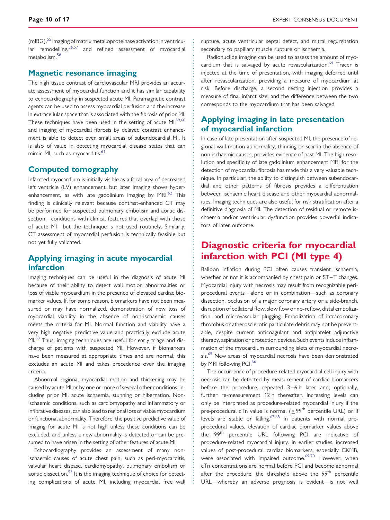$(mIBG)$ ,  $55$  imaging of matrix metalloproteinase activation in ventricu- $\text{lar}$  remodelling,  $56,57$  $56,57$  $56,57$  and refined assessment of myocardial metabolism.[58](#page-15-0)

#### Magnetic resonance imaging

The high tissue contrast of cardiovascular MRI provides an accurate assessment of myocardial function and it has similar capability to echocardiography in suspected acute MI. Paramagnetic contrast agents can be used to assess myocardial perfusion and the increase in extracellular space that is associated with the fibrosis of prior MI. These techniques have been used in the setting of acute MI, 59,60 and imaging of myocardial fibrosis by delayed contrast enhancement is able to detect even small areas of subendocardial MI. It is also of value in detecting myocardial disease states that can mimic MI, such as myocarditis.<sup>[61](#page-15-0)</sup>.

#### Computed tomography

Infarcted myocardium is initially visible as a focal area of decreased left ventricle (LV) enhancement, but later imaging shows hyperenhancement, as with late gadolinium imaging by MRI. $^{62}$  $^{62}$  $^{62}$  This finding is clinically relevant because contrast-enhanced CT may be performed for suspected pulmonary embolism and aortic dissection—conditions with clinical features that overlap with those of acute MI—but the technique is not used routinely. Similarly, CT assessment of myocardial perfusion is technically feasible but not yet fully validated.

#### Applying imaging in acute myocardial infarction

Imaging techniques can be useful in the diagnosis of acute MI because of their ability to detect wall motion abnormalities or loss of viable myocardium in the presence of elevated cardiac biomarker values. If, for some reason, biomarkers have not been measured or may have normalized, demonstration of new loss of myocardial viability in the absence of non-ischaemic causes meets the criteria for MI. Normal function and viability have a very high negative predictive value and practically exclude acute MI.<sup>[63](#page-15-0)</sup> Thus, imaging techniques are useful for early triage and discharge of patients with suspected MI. However, if biomarkers have been measured at appropriate times and are normal, this excludes an acute MI and takes precedence over the imaging criteria.

Abnormal regional myocardial motion and thickening may be caused by acute MI or by one or more of several other conditions, including prior MI, acute ischaemia, stunning or hibernation. Nonischaemic conditions, such as cardiomyopathy and inflammatory or infiltrative diseases, can also lead to regional loss of viable myocardium or functional abnormality. Therefore, the positive predictive value of imaging for acute MI is not high unless these conditions can be excluded, and unless a new abnormality is detected or can be presumed to have arisen in the setting of other features of acute MI.

Echocardiography provides an assessment of many nonischaemic causes of acute chest pain, such as peri-myocarditis, valvular heart disease, cardiomyopathy, pulmonary embolism or aortic dissection. $53$  It is the imaging technique of choice for detecting complications of acute MI, including myocardial free wall

rupture, acute ventricular septal defect, and mitral regurgitation secondary to papillary muscle rupture or ischaemia.

Radionuclide imaging can be used to assess the amount of myo-cardium that is salvaged by acute revascularization.<sup>[64](#page-15-0)</sup> Tracer is injected at the time of presentation, with imaging deferred until after revascularization, providing a measure of myocardium at risk. Before discharge, a second resting injection provides a measure of final infarct size, and the difference between the two corresponds to the myocardium that has been salvaged.

#### Applying imaging in late presentation of myocardial infarction

In case of late presentation after suspected MI, the presence of regional wall motion abnormality, thinning or scar in the absence of non-ischaemic causes, provides evidence of past MI. The high resolution and specificity of late gadolinium enhancement MRI for the detection of myocardial fibrosis has made this a very valuable technique. In particular, the ability to distinguish between subendocardial and other patterns of fibrosis provides a differentiation between ischaemic heart disease and other myocardial abnormalities. Imaging techniques are also useful for risk stratification after a definitive diagnosis of MI. The detection of residual or remote ischaemia and/or ventricular dysfunction provides powerful indicators of later outcome.

### Diagnostic criteria for myocardial infarction with PCI (MI type 4)

Balloon inflation during PCI often causes transient ischaemia, whether or not it is accompanied by chest pain or ST–T changes. Myocardial injury with necrosis may result from recognizable periprocedural events—alone or in combination—such as coronary dissection, occlusion of a major coronary artery or a side-branch, disruption of collateral flow, slow flow or no-reflow, distal embolization, and microvascular plugging. Embolization of intracoronary thrombus or atherosclerotic particulate debris may not be preventable, despite current anticoagulant and antiplatelet adjunctive therapy, aspiration or protection devices. Such events induce inflammation of the myocardium surrounding islets of myocardial necro-sis.<sup>[65](#page-15-0)</sup> New areas of myocardial necrosis have been demonstrated by MRI following PCI.<sup>66</sup>

The occurrence of procedure-related myocardial cell injury with necrosis can be detected by measurement of cardiac biomarkers before the procedure, repeated 3-6 h later and, optionally, further re-measurement 12 h thereafter. Increasing levels can only be interpreted as procedure-related myocardial injury if the pre-procedural cTn value is normal  $(< 99<sup>th</sup>$  percentile URL) or if levels are stable or falling.  $67,68$  $67,68$  $67,68$  In patients with normal preprocedural values, elevation of cardiac biomarker values above the 99<sup>th</sup> percentile URL following PCI are indicative of procedure-related myocardial injury. In earlier studies, increased values of post-procedural cardiac biomarkers, especially CKMB, were associated with impaired outcome.<sup>[69,70](#page-15-0)</sup> However, when cTn concentrations are normal before PCI and become abnormal after the procedure, the threshold above the  $99<sup>th</sup>$  percentile URL—whereby an adverse prognosis is evident—is not well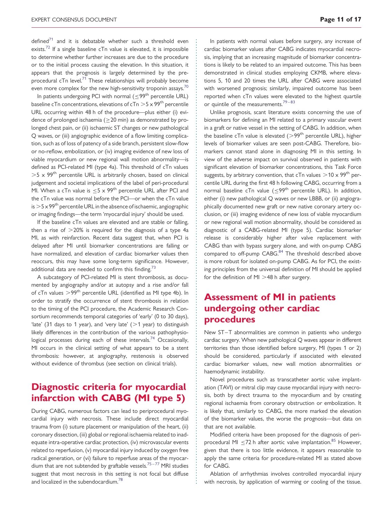defined $71$  and it is debatable whether such a threshold even exists.<sup>[72](#page-15-0)</sup> If a single baseline cTn value is elevated, it is impossible to determine whether further increases are due to the procedure or to the initial process causing the elevation. In this situation, it appears that the prognosis is largely determined by the preprocedural cTn level.[71](#page-15-0) These relationships will probably become even more complex for the new high-sensitivity troponin assays.<sup>[70](#page-15-0)</sup>

In patients undergoing PCI with normal  $(\leq 99^{th}$  percentile URL) baseline cTn concentrations, elevations of cTn  $>5 \times 99^{th}$  percentile URL occurring within 48 h of the procedure—plus either (i) evidence of prolonged ischaemia ( $\geq$ 20 min) as demonstrated by prolonged chest pain, or (ii) ischaemic ST changes or new pathological Q waves, or (iii) angiographic evidence of a flow limiting complication, such as of loss of patency of a side branch, persistent slow-flow or no-reflow, embolization, or (iv) imaging evidence of new loss of viable myocardium or new regional wall motion abnormality—is defined as PCI-related MI (type 4a). This threshold of cTn values  $>5 \times 99$ <sup>th</sup> percentile URL is arbitrarily chosen, based on clinical judgement and societal implications of the label of peri-procedural MI. When a cTn value is  $\leq 5 \times 99^{th}$  percentile URL after PCI and the cTn value was normal before the PCI—or when the cTn value is  $>5 \times 99^{th}$  percentile URL in the absence of ischaemic, angiographic or imaging findings—the term 'myocardial injury' should be used.

If the baseline cTn values are elevated and are stable or falling, then a rise of  $>$ 20% is required for the diagnosis of a type 4a MI, as with reinfarction. Recent data suggest that, when PCI is delayed after MI until biomarker concentrations are falling or have normalized, and elevation of cardiac biomarker values then reoccurs, this may have some long-term significance. However, additional data are needed to confirm this finding.<sup>73</sup>

A subcategory of PCI-related MI is stent thrombosis, as documented by angiography and/or at autopsy and a rise and/or fall of cTn values  $>99^{th}$  percentile URL (identified as MI type 4b). In order to stratify the occurrence of stent thrombosis in relation to the timing of the PCI procedure, the Academic Research Consortium recommends temporal categories of 'early' (0 to 30 days), 'late' (31 days to 1 year), and 'very late' ( $>$ 1 year) to distinguish likely differences in the contribution of the various pathophysio-logical processes during each of these intervals.<sup>[74](#page-15-0)</sup> Occasionally, MI occurs in the clinical setting of what appears to be a stent thrombosis: however, at angiography, restenosis is observed without evidence of thrombus (see section on clinical trials).

# Diagnostic criteria for myocardial infarction with CABG (MI type 5)

During CABG, numerous factors can lead to periprocedural myocardial injury with necrosis. These include direct myocardial trauma from (i) suture placement or manipulation of the heart, (ii) coronary dissection, (iii) global or regional ischaemia related to inadequate intra-operative cardiac protection, (iv) microvascular events related to reperfusion, (v) myocardial injury induced by oxygen free radical generation, or (vi) failure to reperfuse areas of the myocar-dium that are not subtended by graftable vessels.<sup>[75](#page-15-0)-[77](#page-15-0)</sup> MRI studies suggest that most necrosis in this setting is not focal but diffuse and localized in the subendocardium.<sup>[78](#page-15-0)</sup>

In patients with normal values before surgery, any increase of cardiac biomarker values after CABG indicates myocardial necrosis, implying that an increasing magnitude of biomarker concentrations is likely to be related to an impaired outcome. This has been demonstrated in clinical studies employing CKMB, where elevations 5, 10 and 20 times the URL after CABG were associated with worsened prognosis; similarly, impaired outcome has been reported when cTn values were elevated to the highest quartile or quintile of the measurements. $79-83$  $79-83$  $79-83$ 

Unlike prognosis, scant literature exists concerning the use of biomarkers for defining an MI related to a primary vascular event in a graft or native vessel in the setting of CABG. In addition, when the baseline cTn value is elevated ( $>99<sup>th</sup>$  percentile URL), higher levels of biomarker values are seen post-CABG. Therefore, biomarkers cannot stand alone in diagnosing MI in this setting. In view of the adverse impact on survival observed in patients with significant elevation of biomarker concentrations, this Task Force suggests, by arbitrary convention, that cTn values  $>$  10 x 99<sup>th</sup> percentile URL during the first 48 h following CABG, occurring from a normal baseline cTn value ( $\leq$ 99<sup>th</sup> percentile URL). In addition, either (i) new pathological Q waves or new LBBB, or (ii) angiographically documented new graft or new native coronary artery occlusion, or (iii) imaging evidence of new loss of viable myocardium or new regional wall motion abnormality, should be considered as diagnostic of a CABG-related MI (type 5). Cardiac biomarker release is considerably higher after valve replacement with CABG than with bypass surgery alone, and with on-pump CABG compared to off-pump CABG.<sup>[84](#page-16-0)</sup> The threshold described above is more robust for isolated on-pump CABG. As for PCI, the existing principles from the universal definition of MI should be applied for the definition of  $MI > 48$  h after surgery.

# Assessment of MI in patients undergoing other cardiac procedures

New ST–T abnormalities are common in patients who undergo cardiac surgery. When new pathological Q waves appear in different territories than those identified before surgery, MI (types 1 or 2) should be considered, particularly if associated with elevated cardiac biomarker values, new wall motion abnormalities or haemodynamic instability.

Novel procedures such as transcatheter aortic valve implantation (TAVI) or mitral clip may cause myocardial injury with necrosis, both by direct trauma to the myocardium and by creating regional ischaemia from coronary obstruction or embolization. It is likely that, similarly to CABG, the more marked the elevation of the biomarker values, the worse the prognosis—but data on that are not available.

Modified criteria have been proposed for the diagnosis of periprocedural MI  $\leq$ 72 h after aortic valve implantation.<sup>[85](#page-16-0)</sup> However, given that there is too little evidence, it appears reasonable to apply the same criteria for procedure-related MI as stated above for CABG.

Ablation of arrhythmias involves controlled myocardial injury with necrosis, by application of warming or cooling of the tissue.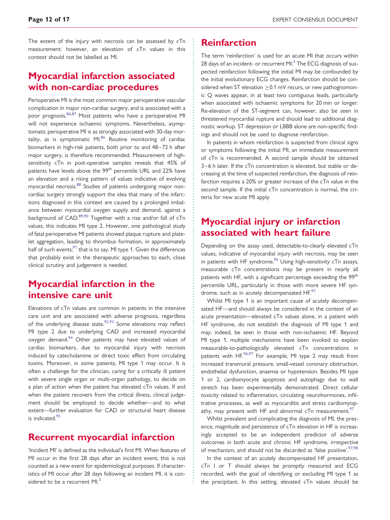The extent of the injury with necrosis can be assessed by cTn measurement: however, an elevation of cTn values in this context should not be labelled as MI.

# Myocardial infarction associated with non-cardiac procedures

Perioperative MI is the most common major perioperative vascular complication in major non-cardiac surgery, and is associated with a poor prognosis.<sup>[86](#page-16-0),[87](#page-16-0)</sup> Most patients who have a perioperative MI will not experience ischaemic symptoms. Nevertheless, asymptomatic perioperative MI is as strongly associated with 30-day mortality, as is symptomatic  $MI^{86}$  $MI^{86}$  $MI^{86}$  Routine monitoring of cardiac biomarkers in high-risk patients, both prior to and 48–72 h after major surgery, is therefore recommended. Measurement of highsensitivity cTn in post-operative samples reveals that 45% of patients have levels above the 99<sup>th</sup> percentile URL and 22% have an elevation and a rising pattern of values indicative of evolving myocardial necrosis.<sup>88</sup> Studies of patients undergoing major noncardiac surgery strongly support the idea that many of the infarctions diagnosed in this context are caused by a prolonged imbalance between myocardial oxygen supply and demand, against a background of CAD.<sup>89,90</sup> Together with a rise and/or fall of cTn values, this indicates MI type 2. However, one pathological study of fatal perioperative MI patients showed plaque rupture and platelet aggregation, leading to thrombus formation, in approximately half of such events; $91$  that is to say, MI type 1. Given the differences that probably exist in the therapeutic approaches to each, close clinical scrutiny and judgement is needed.

# Myocardial infarction in the intensive care unit

Elevations of cTn values are common in patients in the intensive care unit and are associated with adverse prognosis, regardless of the underlying disease state.<sup>92,93</sup> Some elevations may reflect MI type 2 due to underlying CAD and increased myocardial oxygen demand.<sup>94</sup> Other patients may have elevated values of cardiac biomarkers, due to myocardial injury with necrosis induced by catecholamine or direct toxic effect from circulating toxins. Moreover, in some patients, MI type 1 may occur. It is often a challenge for the clinician, caring for a critically ill patient with severe single organ or multi-organ pathology, to decide on a plan of action when the patient has elevated cTn values. If and when the patient recovers from the critical illness, clinical judgement should be employed to decide whether—and to what extent—further evaluation for CAD or structural heart disease is indicated.<sup>[95](#page-16-0)</sup>

#### Recurrent myocardial infarction

'Incident MI' is defined as the individual's first MI. When features of MI occur in the first 28 days after an incident event, this is not counted as a new event for epidemiological purposes. If characteristics of MI occur after 28 days following an incident MI, it is considered to be a recurrent  $MI<sup>3</sup>$  $MI<sup>3</sup>$  $MI<sup>3</sup>$ 

#### Reinfarction

The term 'reinfarction' is used for an acute MI that occurs within 28 days of an incident- or recurrent  $MI<sup>3</sup>$  $MI<sup>3</sup>$  $MI<sup>3</sup>$  The ECG diagnosis of suspected reinfarction following the initial MI may be confounded by the initial evolutionary ECG changes. Reinfarction should be considered when ST elevation  $\geq$  0.1 mV recurs, or new pathognomonic Q waves appear, in at least two contiguous leads, particularly when associated with ischaemic symptoms for 20 min or longer. Re-elevation of the ST-segment can, however, also be seen in threatened myocardial rupture and should lead to additional diagnostic workup. ST depression or LBBB alone are non-specific findings and should not be used to diagnose reinfarction.

In patients in whom reinfarction is suspected from clinical signs or symptoms following the initial MI, an immediate measurement of cTn is recommended. A second sample should be obtained 3–6 h later. If the cTn concentration is elevated, but stable or decreasing at the time of suspected reinfarction, the diagnosis of reinfarction requires a 20% or greater increase of the cTn value in the second sample. If the initial cTn concentration is normal, the criteria for new acute MI apply.

# Myocardial injury or infarction associated with heart failure

Depending on the assay used, detectable-to-clearly elevated cTn values, indicative of myocardial injury with necrosis, may be seen in patients with HF syndrome.<sup>96</sup> Using high-sensitivity cTn assays, measurable cTn concentrations may be present in nearly all patients with HF, with a significant percentage exceeding the 99<sup>th</sup> percentile URL, particularly in those with more severe HF syn-drome, such as in acutely decompensated HF.<sup>[97](#page-16-0)</sup>

Whilst MI type 1 is an important cause of acutely decompensated HF—and should always be considered in the context of an acute presentation—elevated cTn values alone, in a patient with HF syndrome, do not establish the diagnosis of MI type 1 and may, indeed, be seen in those with non-ischaemic HF. Beyond MI type 1, multiple mechanisms have been invoked to explain measurable-to-pathologically elevated cTn concentrations in patients with HF.<sup>[96,97](#page-16-0)</sup> For example, MI type 2 may result from increased transmural pressure, small-vessel coronary obstruction, endothelial dysfunction, anaemia or hypotension. Besides MI type 1 or 2, cardiomyocyte apoptosis and autophagy due to wall stretch has been experimentally demonstrated. Direct cellular toxicity related to inflammation, circulating neurohormones, infiltrative processes, as well as myocarditis and stress cardiomyopathy, may present with HF and abnormal  $cTn$  measurement.<sup>97</sup>

Whilst prevalent and complicating the diagnosis of MI, the presence, magnitude and persistence of cTn elevation in HF is increasingly accepted to be an independent predictor of adverse outcomes in both acute and chronic HF syndrome, irrespective of mechanism, and should not be discarded as 'false positive'.<sup>[97,98](#page-16-0)</sup>

In the context of an acutely decompensated HF presentation, cTn I or T should always be promptly measured and ECG recorded, with the goal of identifying or excluding MI type 1 as the precipitant. In this setting, elevated cTn values should be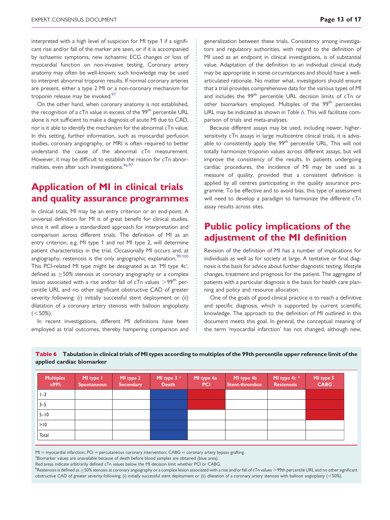interpreted with a high level of suspicion for MI type 1 if a significant rise and/or fall of the marker are seen, or if it is accompanied by ischaemic symptoms, new ischaemic ECG changes or loss of myocardial function on non-invasive testing. Coronary artery anatomy may often be well-known; such knowledge may be used to interpret abnormal troponin results. If normal coronary arteries are present, either a type 2 MI or a non-coronary mechanism for troponin release may be invoked.<sup>97</sup>

On the other hand, when coronary anatomy is not established, the recognition of a cTn value in excess of the 99<sup>th</sup> percentile URL alone is not sufficient to make a diagnosis of acute MI due to CAD, nor is it able to identify the mechanism for the abnormal cTn value. In this setting, further information, such as myocardial perfusion studies, coronary angiography, or MRI is often required to better understand the cause of the abnormal cTn measurement. However, it may be difficult to establish the reason for cTn abnor-malities, even after such investigations.<sup>[96,97](#page-16-0)</sup>

# Application of MI in clinical trials and quality assurance programmes

In clinical trials, MI may be an entry criterion or an end-point. A universal definition for MI is of great benefit for clinical studies, since it will allow a standardized approach for interpretation and comparison across different trials. The definition of MI as an entry criterion, e.g. MI type 1 and not MI type 2, will determine patient characteristics in the trial. Occasionally MI occurs and, at angiography, restenosis is the only angiographic explanation.<sup>[99](#page-16-0),[100](#page-16-0)</sup> This PCI-related MI type might be designated as an 'MI type 4c', defined as ≥50% stenosis at coronary angiography or a complex lesion associated with a rise and/or fall of cTn values  $> 99<sup>th</sup>$  percentile URL and no other significant obstructive CAD of greater severity following: (i) initially successful stent deployment or (ii) dilatation of a coronary artery stenosis with balloon angioplasty  $(<50\%)$ .

In recent investigations, different MI definitions have been employed as trial outcomes, thereby hampering comparison and

generalization between these trials. Consistency among investigators and regulatory authorities, with regard to the definition of MI used as an endpoint in clinical investigations, is of substantial value. Adaptation of the definition to an individual clinical study may be appropriate in some circumstances and should have a wellarticulated rationale. No matter what, investigators should ensure that a trial provides comprehensive data for the various types of MI and includes the 99<sup>th</sup> percentile URL decision limits of cTn or other biomarkers employed. Multiples of the 99<sup>th</sup> percentiles URL may be indicated as shown in Table 6. This will facilitate comparison of trials and meta-analyses.

Because different assays may be used, including newer, highersensitivity cTn assays in large multicentre clinical trials, it is advisable to consistently apply the 99<sup>th</sup> percentile URL. This will not totally harmonize troponin values across different assays, but will improve the consistency of the results. In patients undergoing cardiac procedures, the incidence of MI may be used as a measure of quality, provided that a consistent definition is applied by all centres participating in the quality assurance programme. To be effective and to avoid bias, this type of assessment will need to develop a paradigm to harmonize the different cTn assay results across sites.

# Public policy implications of the adjustment of the MI definition

Revision of the definition of MI has a number of implications for individuals as well as for society at large. A tentative or final diagnosis is the basis for advice about further diagnostic testing, lifestyle changes, treatment and prognosis for the patient. The aggregate of patients with a particular diagnosis is the basis for health care planning and policy and resource allocation.

One of the goals of good clinical practice is to reach a definitive and specific diagnosis, which is supported by current scientific knowledge. The approach to the definition of MI outlined in this document meets this goal. In general, the conceptual meaning of the term 'myocardial infarction' has not changed, although new,

| <b>Multiples</b><br>x99% | MI type I<br><b>Spontaneous</b> | MI type 2<br><b>Secondary</b> | MI type 3 <sup>a</sup><br><b>Death</b> | MI type 4a<br><b>PCI</b> | MI type 4b<br><b>Stent-thrombus</b> | MI type $4cb$<br><b>Restenosis</b> | MI type 5<br><b>CABG</b> |
|--------------------------|---------------------------------|-------------------------------|----------------------------------------|--------------------------|-------------------------------------|------------------------------------|--------------------------|
| $I-3$                    |                                 |                               |                                        |                          |                                     |                                    |                          |
| $3 - 5$                  |                                 |                               |                                        |                          |                                     |                                    |                          |
| $5 - 10$                 |                                 |                               |                                        |                          |                                     |                                    |                          |
| >10                      |                                 |                               |                                        |                          |                                     |                                    |                          |
| Total                    |                                 |                               |                                        |                          |                                     |                                    |                          |

Table 6 Tabulation in clinical trials of MI types according to multiples of the 99th percentile upper reference limit of the applied cardiac biomarker

 $MI =$  myocardial infarction; PCI = percutaneous coronary intervention; CABG = coronary artery bypass grafting.

<sup>a</sup>Biomarker values are unavailable because of death before blood samples are obtained (blue area).

Red areas indicate arbitrarily defined cTn values below the MI decision limit whether PCI or CABG.

 $^{\rm b}$ Restenosis is defined as  $\geq$ 50% stenosis at coronary angiography or a complex lesion associated with a rise and/or fall of cTn values  $>$ 99th percentile URL and no other significant obstructive CAD of greater severity following: (i) initially successful stent deployment or (ii) dilatation of a coronary artery stenosis with balloon angioplasty (<50%).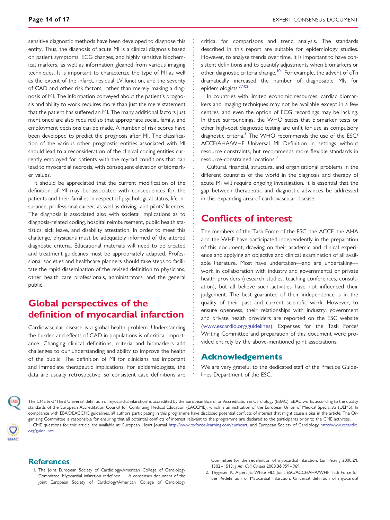<span id="page-13-0"></span>sensitive diagnostic methods have been developed to diagnose this entity. Thus, the diagnosis of acute MI is a clinical diagnosis based on patient symptoms, ECG changes, and highly sensitive biochemical markers, as well as information gleaned from various imaging techniques. It is important to characterize the type of MI as well as the extent of the infarct, residual LV function, and the severity of CAD and other risk factors, rather than merely making a diagnosis of MI. The information conveyed about the patient's prognosis and ability to work requires more than just the mere statement that the patient has suffered an MI. The many additional factors just mentioned are also required so that appropriate social, family, and employment decisions can be made. A number of risk scores have been developed to predict the prognosis after MI. The classification of the various other prognostic entities associated with MI should lead to a reconsideration of the clinical coding entities currently employed for patients with the myriad conditions that can lead to myocardial necrosis, with consequent elevation of biomarker values.

It should be appreciated that the current modification of the definition of MI may be associated with consequences for the patients and their families in respect of psychological status, life insurance, professional career, as well as driving- and pilots' licences. The diagnosis is associated also with societal implications as to diagnosis-related coding, hospital reimbursement, public health statistics, sick leave, and disability attestation. In order to meet this challenge, physicians must be adequately informed of the altered diagnostic criteria. Educational materials will need to be created and treatment guidelines must be appropriately adapted. Professional societies and healthcare planners should take steps to facilitate the rapid dissemination of the revised definition to physicians, other health care professionals, administrators, and the general public.

# Global perspectives of the definition of myocardial infarction

Cardiovascular disease is a global health problem. Understanding the burden and effects of CAD in populations is of critical importance. Changing clinical definitions, criteria and biomarkers add challenges to our understanding and ability to improve the health of the public. The definition of MI for clinicians has important and immediate therapeutic implications. For epidemiologists, the data are usually retrospective, so consistent case definitions are

critical for comparisons and trend analysis. The standards described in this report are suitable for epidemiology studies. However, to analyse trends over time, it is important to have consistent definitions and to quantify adjustments when biomarkers or other diagnostic criteria change.<sup>101</sup> For example, the advent of cTn dramatically increased the number of diagnosable MIs for epidemiologists.[3](#page-14-0)[,102](#page-16-0)

In countries with limited economic resources, cardiac biomarkers and imaging techniques may not be available except in a few centres, and even the option of ECG recordings may be lacking. In these surroundings, the WHO states that biomarker tests or other high-cost diagnostic testing are unfit for use as compulsory diagnostic criteria. $3$  The WHO recommends the use of the ESC/ ACCF/AHA/WHF Universal MI Definition in settings without resource constraints, but recommends more flexible standards in resource-constrained locations.<sup>[3](#page-14-0)</sup>

Cultural, financial, structural and organisational problems in the different countries of the world in the diagnosis and therapy of acute MI will require ongoing investigation. It is essential that the gap between therapeutic and diagnostic advances be addressed in this expanding area of cardiovascular disease.

### Conflicts of interest

The members of the Task Force of the ESC, the ACCF, the AHA and the WHF have participated independently in the preparation of this document, drawing on their academic and clinical experience and applying an objective and clinical examination of all available literature. Most have undertaken—and are undertaking work in collaboration with industry and governmental or private health providers (research studies, teaching conferences, consultation), but all believe such activities have not influenced their judgement. The best guarantee of their independence is in the quality of their past and current scientific work. However, to ensure openness, their relationships with industry, government and private health providers are reported on the ESC website [\(www.escardio.org/guidelines](www.escardio.org/guidelines)). Expenses for the Task Force/ Writing Committee and preparation of this document were provided entirely by the above-mentioned joint associations.

#### Acknowledgements

We are very grateful to the dedicated staff of the Practice Guidelines Department of the ESC.

The CME text 'Third Universal definition of myocardial infarction' is accredited by the European Board for Accreditation in Cardiology (EBAC). EBAC works according to the quality standards of the European Accreditation Council for Continuing Medical Education (EACCME), which is an institution of the European Union of Medical Specialists (UEMS). In compliance with EBAC/EACCME guidelines, all authors participating in this programme have disclosed potential conflicts of interest that might cause a bias in the article. The Organizing Committee is responsible for ensuring that all potential conflicts of interest relevant to the programme are declared to the participants prior to the CME activities. CME questions for this article are available at: European Heart Journal <http://www.oxforde-learning.com/eurheartj> and European Society of Cardiology [http://www.escardio.](http://www.escardio.org/guidelines) [org/guidelines](http://www.escardio.org/guidelines).

#### **References**

1. The Joint European Society of Cardiology/American College of Cardiology Committee. Myocardial infarction redefined — A consensus document of the Joint European Society of Cardiology/American College of Cardiology Committee for the redefinition of myocardial infarction. Eur Heart J 2000;21: 1502-1513; J Am Coll Cardiol 2000;36:959-969.

2. Thygesen K, Alpert JS, White HD, Joint ESC/ACCF/AHA/WHF Task Force for the Redefinition of Myocardial Infarction. Universal definition of myocardial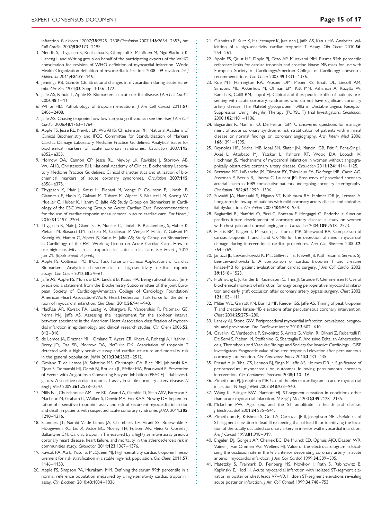<span id="page-14-0"></span>infarction. Eur Heart | 2007;28:2525-2538;Circulation 2007;116:2634-2653;| Am Coll Cardiol 2007;50:2173 –2195.

- 3. Mendis S, Thygesen K, Kuulasmaa K, Giampaoli S, Mähönen M, Ngu Blackett K, Lisheng L and Writing group on behalf of the participating experts of the WHO consultation for revision of WHO definition of myocardial infarction. World Health Organization definition of myocardial infarction: 2008-09 revision. Int J Epidemiol 2011;40:139 – 146.
- 4. Jennings RB, Ganote CE. Structural changes in myocardium during acute ischemia. Circ Res 1974;35 Suppl 3:156-172.
- 5. Jaffe AS, Babuin L, Apple FS. Biomarkers in acute cardiac disease. J Am Coll Cardiol  $2006:48:1 - 11.$
- 6. White HD. Pathobiology of troponin elevations. J Am Coll Cardiol 2011;57: 2406–2408.
- 7. Jaffe AS. Chasing troponin: how low can you go if you can see the rise? J Am Coll Cardiol 2006:48:1763-1764.
- 8. Apple FS, Jesse RL, Newby LK, Wu AHB, Christenson RH, National Academy of Clinical Biochemistry and IFCC Committee for Standardization of Markers Cardiac Damage Laboratory Medicine Practice Guidelines: Analytical issues for biochemical markers of acute coronary syndromes. Circulation 2007;115: e352 –e355.
- 9. Morrow DA, Cannon CP, Jesse RL, Newby LK, Ravkilde J, Storrow AB, Wu AHB, Christenson RH. National Academy of Clinical Biochemistry Laboratory Medicine Practice Guidelines: Clinical characteristics and utilization of biochemical markers of acute coronary syndromes. Circulation 2007;115: e356 –e375.
- 10. Thygesen K, Mair J, Katus H, Plebani M, Venge P, Collinson P, Lindahl B, Giannitsis E, Hasin Y, Galvani M, Tubaro M, Alpert JS, Biasucci LM, Koenig W, Mueller C, Huber K, Hamm C, Jaffe AS; Study Group on Biomarkers in Cardiology of the ESC Working Group on Acute Cardiac Care. Recommendations for the use of cardiac troponin measurement in acute cardiac care. Eur Heart | 2010;31:2197 –2204.
- 11. Thygesen K, Mair J, Giannitsis E, Mueller C, Lindahl B, Blankenberg S, Huber K, Plebani M, Biasucci LM, Tubaro M, Collinson P, Venge P, Hasin Y, Galvani M, Koenig W, Hamm C, Alpert JS, Katus H, Jaffe AS; Study Group on Biomarkers in Cardiology of the ESC Working Group on Acute Cardiac Care. How to use high-sensitivity cardiac troponins in acute cardiac care. Eur Heart J 2012 Jun 21. [Epub ahead of print.]
- 12. Apple FS, Collinson PO; IFCC Task Force on Clinical Applications of Cardiac Biomarkers. Analytical characteristics of high-sensitivity cardiac troponin assays. Clin Chem 2012;58:54-61.
- 13. Jaffe AS, Apple FS, Morrow DA, Lindahl B, Katus HA. Being rational about (im) precision: a statement from the Biochemistry Subcommittee of the Joint European Society of Cardiology/American College of Cardiology Foundation/ American Heart Association/World Heart Federation Task Force for the definition of myocardial infarction. Clin Chem 2010;56:941-943.
- 14. MacRae AR, Kavsak PA, Lustig V, Bhargava R, Vandersluis R, Palomaki GE, Yerna M-J, Jaffe AS. Assessing the requirement for the six-hour interval between specimens in the American Heart Association classification of myocardial infarction in epidemiology and clinical research studies. Clin Chem 2006;52: 812– 818.
- 15. de Lemos JA, Drazner MH, Omland T, Ayers CR, Khera A, Rohatgi A, Hashim I, Berry JD, Das SR, Morrow DA, McGuire DK. Association of troponin T detected with a highly sensitive assay and cardiac structure and mortality risk in the general population. JAMA 2010;304:2503-2512.
- 16. Omland T, de Lemos JA, Sabatine MS, Christophi CA, Rice MM, Jablonski KA, Tjora S, Domanski MJ, Gersh BJ, Rouleau JL, Pfeffer MA, Braunwald E. Prevention of Events with Angiotensin Converting Enzyme Inhibition (PEACE) Trial Investigators. A sensitive cardiac troponin T assay in stable coronary artery disease. N Engl | Med 2009;361:2538-2547.
- 17. Mills NL, Churchhouse AM, Lee KK, Anand A, Gamble D, Shah ASV, Paterson E, MacLeod M, Graham C, Walker S, Denvir MA, Fox KAA, Newby DE. Implementation of a sensitive troponin I assay and risk of recurrent myocardial infarction and death in patients with suspected acute conorary syndrome. JAMA 2011;305: 1210–1216.
- 18. Saunders JT, Nambi V, de Limos JA, Chambless LE, Virani SS, Boerwinkle E, Hoogeveen RC, Liu X, Astor BC, Mosley TH, Folsom AR, Heiss G, Coresh J, Ballantyne CM. Cardiac troponin T measured by a highly sensitive assay predicts coronary heart disease, heart failure, and mortality in the atherosclerosis risk in communities study. Circulation 2011;123:1367-1376.
- 19. Kavsak PA, Xu L, Yusuf S, McQueen MJ. High-sensitivity cardiac troponin I measurement for risk stratification in a stable high-risk population. Clin Chem 2011;57: 1146–1153.
- 20. Apple FS, Simpson PA, Murakami MM. Defining the serum 99th percentile in a normal reference population measured by a high-sensitivity cardiac troponin I assay. Clin Biochem 2010;43:1034 –1036.
- 21. Giannitsis E, Kurz K, Hallermayer K, Jarausch J, Jaffe AS, Katus HA. Analytical validation of a high-sensitivity cardiac troponin T Assay. Clin Chem 2010;56: 254 –261.
- 22. Apple FS, Quist HE, Doyle PJ, Otto AP, Murakami MM. Plasma 99th percentile reference limits for cardiac troponin and creatine kinase MB mass for use with European Society of Cardiology/American College of Cardiology consensus recommendations. Clin Chem 2003;49:1331 –1336.
- 23. Roe MT, Harrington RA, Prosper DM, Pieper KS, Bhatt DL, Lincoff AM, Simoons ML, Akkerhuis M, Ohman EM, Kitt MM, Vahanian A, Ruzyllo W, Karsch K, Califf RM, Topol EJ. Clinical and therapeutic profile of patients presenting with acute coronary syndromes who do not have significant coronary artery disease. The Platelet glycoprotein IIb/IIIa in Unstable angina: Receptor Suppression Using Integrilin Therapy (PURSUIT) trial Investigators. Circulation. 2000;102:1101 –1106.
- 24. Bugiardini R, Manfrini O, De Ferrari GM. Unanswered questions for management of acute coronary syndrome: risk stratification of patients with minimal disease or normal findings on coronary angiography. Arch Intern Med 2006; 166:1391 – 1395.
- 25. Reynolds HR, Srichai MB, Iqbal SN, Slater JN, Mancini GB, Feit F, Pena-Sing I, Axel L, Attubato MJ, Yatskar L, Kalhorn RT, Wood DA, Lobach IV, Hochman JS. Mechanisms of myocardial infarction in women without angiographically obstructive coronary artery disease. Circulation 2011;124:1414-1425.
- 26. Bertrand ME, LaBlanche JM, Tilmant PY, Thieuleux FA, Delforge MR, Carre AG, Asseman P, Berzin B, Libersa C, Laurent JM. Frequency of provoked coronary arterial spasm in 1089 consecutive patients undergoing coronary arteriography. Circulation 1982;65:1299 –1306.
- 27. Suwaidi JA, Hamasaki S, Higano ST, Nishimura RA, Holmes DR Jr, Lerman A. Long-term follow-up of patients with mild coronary artery disease and endothelial dysfunction. Circulation 2000;101:948-954.
- 28. Bugiardini R, Manfrini O, Pizzi C, Fontana F, Morgagni G. Endothelial function predicts future development of coronary artery disease: a study on women with chest pain and normal angiograms. Circulation 2004;109:2518-2523.
- 29. Harris BM, Nageh T, Marsden JT, Thomas MR, Sherwood RA. Comparison of cardiac troponin T and I and CK-MB for the detection of minor myocardial damage during interventional cardiac procedures. Ann Clin Biochem 2000;37: 764 –769.
- 30. Januzzi JL, Lewandrowski K, MacGillivray TE, Newell JB, Kathiresan S, Servoss SJ, Lee-Lewandrowski E. A comparison of cardiac troponin T and creatine kinase-MB for patient evaluation after cardiac surgery. J Am Coll Cardiol 2002; 39:1518 – 1523.
- 31. Holmvang L, Jurlander B, Rasmussen C, Thiis JJ, Grande P, Clemmensen P. Use of biochemical markers of infarction for diagnosing perioperative myocardial infarction and early graft occlusion after coronary artery bypass surgery. Chest 2002; 121:103 –111.
- 32. Miller WL, Garratt KN, Burritt MF, Reeder GS, Jaffe AS. Timing of peak troponin T and creatine kinase-MB elevations after percutaneous coronary intervention. Chest 2004;25:275 – 280.
- 33. Lansky AJ, Stone GW. Periprocedural myocardial infarction: prevalence, prognosis, and prevention. Circ Cardiovasc Interv 2010;3:602-610.
- 34. Cavallini C, Verdecchia P, Savonitto S, Arraiz G, Violini R, Olivari Z, Rubartelli P, De Servi S, Plebani M, Steffenino G, Sbarzaglia P, Ardissino D;Italian Atherosclerosis, Thrombosis and Vascular Biology and Society for Invasive Cardiology –GISE Investigators Prognostic value of isolated troponin I elevation after percutaneous coronary intervention. Circ Cardiovasc Interv 2010;3:431-435.
- 35. Prasad A Jr, Rihal CS, Lennon RJ, Singh M, Jaffe AS, Holmes DR Jr. Significance of periprocedural myonecrosis on outcomes following percutaneous coronary intervention. Circ Cardiovasc Intervent 2008;1:10 –19.
- 36. Zimetbaum PJ, Josephson ME. Use of the electrocardiogram in acute myocardial infarction. N Engl | Med 2003;348:933-940.
- 37. Wang K, Asinger RW, Marriott HJ. ST-segment elevation in conditions other than acute myocardial infarction. N Engl J Med 2003;349:2128-2135.
- 38. Mcfarlane PW. Age, sex, and the ST amplitude in health and disease. J Electrocardiol 2001;34:S35 –S41.
- 39. Zimetbaum PJ, Krishnan S, Gold A, Carrozza JP II, Josephson ME. Usefulness of ST-segment elevation in lead III exceeding that of lead II for identifying the location of the totally occluded coronary artery in inferior wall myocardial infarction. Am J Cardiol 1998;81:918-919.
- 40. Engelen DJ, Gorgels AP, Cheriex EC, De Muinck ED, Ophuis AJO, Dassen WR, Vainer J, van Ommen VG, Wellens HJ. Value of the electrocardiogram in localizing the occlusion site in the left anterior descending coronary artery in acute anterior myocardial infarction. J Am Coll Cardiol 1999;34:389–395.
- 41. Matetzky S, Freimark D, Feinberg MS, Novikov I, Rath S, Rabinowitz B, Kaplinsky E, Hod H. Acute myocardial infarction with isolated ST-segment elevation in posterior chest leads V7 –V9. Hidden ST-segment elevations revealing acute posterior infarction. | Am Coll Cardiol 1999;34:748-753.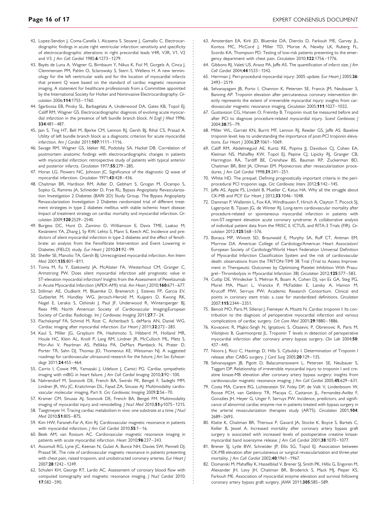- <span id="page-15-0"></span>42. Lopez-Sendon J, Coma-Canella I, Alcasena S, Seoane J, Gamallo C. Electrocardiographic findings in acute right ventricular infarction: sensitivity and specificity of electrocardiographic alterations in right precordial leads V4R, V3R, V1, V2 and V3. J Am Coll Cardiol 1985;6:1273-1279.
- 43. Bayés de Luna A, Wagner G, Birnbaum Y, Nikus K, Fiol M, Gorgels A, Cinca I, Clemmensen PM, Pahlm O, Sclarowsky S, Stern S, Wellens H. A new terminology for the left ventricular walls and for the location of myocardial infarcts that present Q wave based on the standard of cardiac magnetic resonance imaging. A statement for healthcare professionals from a Committee appointed by the International Society for Holter and Noninvasive Electrocardiography. Circulation 2006;114:1755-1760.
- 44. Sgarbossa EB, Pinsky SL, Barbagelata A, Underwood DA, Gates KB, Topol EJ, Califf RM, Wagner GS. Electrocardiographic diagnosis of evolving acute myocardial infarction in the presence of left bundle branch block. N Engl | Med 1996; 334:481 –487.
- 45. Jain S, Ting HT, Bell M, Bjerke CM, Lennon RJ, Gersh BJ, Rihal CS, Prasad A. Utility of left bundle branch block as a diagnostic criterion for acute myocardial infarction. Am | Cardiol 2011;107:1111-1116.
- 46. Savage RM, Wagner GS, Ideker RE, Podolsky SA, Hackel DB. Correlation of postmortem anatomic findings with electrocardiographic changes in patients with myocardial infarction: retrospective study of patients with typical anterior and posterior infarcts. Circulation 1977;55:279-285.
- 47. Horan LG, Flowers NC, Johnson IC, Significance of the diagnostic O wave of myocardial infarction. Circulation 1971;43:428-436.
- 48. Chaitman BR, Hardison RM, Adler D, Gebhart S, Grogan M, Ocampo S, Sopko G, Ramires JA, Schneider D, Frye RL; Bypass Angioplasty Revascularization Investigation 2 Diabetes (BARI 2D) Study Group. The Bypass Angioplasty Revascularization Investigation 2 Diabetes randomized trial of different treatment strategies in type 2 diabetes mellitus with stable ischemic heart disease: Impact of treatment strategy on cardiac mortality and myocardial infarction. Circulation 2009;120:2529 –2540.
- 49. Burgess DC, Hunt D, Zannino D, Williamson E, Davis TME, Laakso M, Kesäniemi YA, Zhang J, Sy RW, Lehto S, Mann S, Keech AC. Incidence and predictors of silent myocardial infarction in type 2 diabetes and the effect of fenofibrate: an analysis from the Fenofibrate Intervention and Event Lowering in Diabetes (FIELD) study. Eur Heart J 2010:31:92-99.
- 50. Sheifer SE, Manolio TA, Gersh BJ. Unrecognized myocardial infarction. Ann Intern Med 2001;135:801-811.
- 51. Toma M, Fu Y, Ezekowitz JA, McAlister FA, Westerhout CM, Granger C, Armstrong PW. Does silent myocardial infarction add prognostic value in ST-elevation myocardial infarction? Insights from the Assessment of Pexelizumab in Acute Myocardial Infarction (APEX-AMI) trial. Am Heart J 2010;160:671-677.
- 52. Stillman AE, Oudkerk M, Bluemke D, Bremerich J, Esteves FP, Garcia EV, Gutberlet M, Hundley WG, Jerosch-Herold M, Kuijpers D, Kwong RK, Nagel E, Lerakis S, Oshinski J, Paul JF, Underwood R, Wintersperger BJ, Rees MR; North American Society of Cardiovascular Imaging;European Society of Cardiac Radiology. Int J Cardiovasc Imaging 2011;27:7-24.
- 53. Flachskampf FA, Schmid M, Rost C, Achenbach S, deMaria AN, Daniel WG. Cardiac imaging after myocardial infarction. Eur Heart | 2011;32:272-283.
- 54. Kaul S, Miller JG, Grayburn PA, Hashimoto S, Hibberd M, Holland MR, Houle HC, Klein AL, Knoll P, Lang RM, Lindner JR, McCulloch ML, Metz S, Mor-Avi V, Pearlman AS, Pellikka PA, DeMars Plambeck N, Prater D, Porter TR, Sahn DJ, Thomas JD, Thomenius KE, Weissman NJ. A suggested roadmap for cardiovascular ultrasound research for the future. J Am Soc Echocardiogr 2011:24:455-464.
- 55. Carrio I, Cowie MR, Yamazaki J, Udelson J, Camici PG. Cardiac sympathetic imaging with mIBG in heart failure. J Am Coll Cardiol Imaging 2010;3:92-100.
- 56. Nahrendorf M, Sosnovik DE, French BA, Swirski FK, Bengel F, Sadeghi MM, Lindner JR, Wu JC, Kraitchman DL, Fayad ZA, Sinusas AJ. Multimodality cardiovascular molecular imaging, Part II. Circ Cardiovasc Imaging 2009;2:56–70.
- 57. Kramer CM, Sinusas AJ, Sosnovik DE, French BA, Bengel FM. Multimodality imaging of myocardial injury and remodelling. J Nucl Med 2010;51:p107S-121S.
- 58. Taegtmeyer H. Tracing cardiac metabolism in vivo: one substrate at a time. J Nucl Med 2010:51:80S-87S.
- 59. Kim HW, Faraneh-Far A, Kim RJ. Cardiovascular magnetic resonance in patients with myocardial infarction. J Am Coll Cardiol 2010;55:1-16.
- 60. Beek AM, van Rossum AC. Cardiovascular magnetic resonance imaging in patients with acute myocardial infarction. Heart 2010;96:237 – 243.
- 61. Assomull RG, Lyne JC, Keenan N, Gulati A, Bunce NH, Davies SW, Pennell DJ, Prasad SK. The role of cardiovascular magnetic resonance in patients presenting with chest pain, raised troponin, and unobstructed coronary arteries. Eur Heart J 2007;28:1242 – 1249.
- 62. Schuleri KH, George RT, Lardo AC. Assessment of coronary blood flow with computed tomography and magnetic resonance imaging. J Nucl Cardiol 2010; 17:582 –590.
- 63. Amsterdam EA, Kirk JD, Bluemke DA, Diercks D, Farkouh ME, Garvey JL, Kontos MC, McCord J, Miller TD, Morise A, Newby LK, Ruberg FL, Scordo KA, Thompson PD. Testing of low-risk patients presenting to the emergency department with chest pain. Circulation 2010;122:1756-1776.
- 64. Gibbons RJ, Valeti US, Araoz PA, Jaffe AS. The quantification of infarct size. J Am Coll Cardiol 2004;44:1533 – 1542.
- 65. Herrman J. Peri-procedural myocardial injury: 2005 update. Eur Heart J 2005;26: 2493 –2519.
- 66. Selvanayagam JB, Porto I, Channon K, Petersen SE, Francis JM, Neubauer S, Banning AP. Troponin elevation after percutaneous coronary intervention directly represents the extent of irreversible myocardial injury: insights from cardiovascular magnetic resonance imaging. Circulation 2005;111:1027 –1032.
- 67. Gustavsson CG, Hansen O, Frennby B. Troponin must be measured before and after PCI to diagnose procedure-related myocardial injury. Scand Cardiovasc | 2004;38:75–79.
- 68. Miller WL, Garratt KN, Burrit MF, Lennon RJ, Reeder GS, Jaffe AS. Baseline troponin level: key to understanding the importance of post-PCI troponin elevations. Eur Heart | 2006;27:1061-1069.
- 69. Califf RM, Abdelmeguid AE, Kuntz RE, Popma JJ, Davidson CJ, Cohen EA, Kleiman NS, Mahaffey KW, Topol EJ, Pepine CJ, Lipicky RJ, Granger CB, Harrington RA, Tardiff BE, Crenshaw BS, Bauman RP, Zuckerman BD, Chaitman BR, Bittl JA, Ohman EM. Myonecrosis after revascularization procedures. J Am Coll Cardiol 1998;31:241 – 251.
- 70. White HD. The prequel. Defining prognostically important criteria in the periprocedural PCI troponin saga. Circ Cardiovasc Interv 2012;5:142 –145.
- 71. Jaffe AS, Apple FS, Lindahl B, Mueller C, Katus HA. Why all the struggle about CK-MB and PCI? Eur Heart | 2012;33:1046-1048.
- 72. Damman P, Wallentin L, Fox KA, Windhausen F, Hirsch A, Clayton T, Pocock SJ, Lagerqvist B, Tijssen JG, de Winter RJ. Long-term cardiovascular mortality after procedure-related or spontaneous myocardial infarction in patients with non-ST-segment elevation acute coronary syndrome: A collaborative analysis of individual patient data from the FRISC II, ICTUS, and RITA-3 Trials (FIR). Circulation 2012;125:568 –576.
- 73. Bonaca MP, Wiviott SD, Braunwald E, Murphy SA, Ruff CT, Antman EM, Morrow DA. American College of Cardiology/American Heart Association/ European Society of Cardiology/World Heart Federation Universal Definition of Myocardial Infarction Classification System and the risk of cardiovascular death: observations from the TRITON-TIMI 38 Trial (Trial to Assess Improvement in Therapeutic Outcomes by Optimizing Platelet Inhibition With Prasugrel–Thrombolysis in Myocardial Infarction 38) Circulation 2012;125:577 –583.
- 74. Cutlip DE, Windecker S, Mehran R, Boam A, Cohen DJ, van Es GA, Steg PG, Morel MA, Mauri L, Vranckx P, McFadden E, Lansky A, Hamon M, Krucoff MW, Serruys PW; Academic Research Consortium. Clinical end points in coronary stent trials: a case for standardized definitions. Circulation 2007;115:2344 –2351.
- 75. Benoit MO, Paris M, Silleran J, Fiemeyer A, Moatti N. Cardiac troponin I: Its contribution to the diagnosis of perioperative myocardial infarction and various complications of cardiac surgery. Crit Care Med 2001;29:1880-1886.
- 76. Kovacevic R, Majkic-Singh N, Ignjatovic S, Otasevic P, Obrenovic R, Paris M, Vilotijevic B, Guermonprez JL. Troponin T levels in detection of perioperative myocardial infarction after coronary artery bypass surgery. Clin Lab 2004;50: 437 –445.
- 77. Noora J, Ricci C, Hastings D, Hills S, Cybulsky I. Determination of Troponin I release after CABG surgery. J Card Surg 2005;20:129-135.
- 78. Selvanayagam JB, Pigott D, Balacumaraswami L, Petersen SE, Neubauer S, Taggart DP. Relationship of irreversible myocardial injury to troponin I and creatine kinase-MB elevation after coronary artery bypass surgery: insights from cardiovascular magnetic resonance imaging. J Am Coll Cardiol 2005;45:629-631.
- 79. Costa MA, Carere RG, Lichtenstein SV, Foley DP, de Valk V, Lindenboom W, Roose PCH, van Geldorp TR, Macaya C, Castanon JL, Fernandez-Avilèz F, Gonzáles JH, Heyer G, Unger F, Serruys PW. Incidence, predictors, and significance of abnormal cardiac enzyme rise in patients treated with bypass surgery in the arterial revascularization therapies study (ARTS). Circulation 2001;104: 2689 –2693.
- 80. Klatte K, Chaitman BR, Theroux P, Gavard JA, Stocke K, Boyce S, Bartels C, Keller B, Jessel A. Increased mortality after coronary artery bypass graft surgery is associated with increased levels of postoperative creatine kinasemyocardial band isoenzyme release. J Am Coll Cardiol 2001;38:1070-1077.
- 81. Brener SJ, Lytle BW, Schneider JP, Ellis SG, Topol EJ. Association between CK-MB elevation after percutaneous or surgical revascularization and three-year mortality. J Am Coll Cardiol 2002:40:1961-1967.
- 82. Domanski M, Mahaffey K, Hasselblad V, Brener SJ, Smith PK, Hillis G, Engoren M, Alexander IH, Levy IH, Chaitman BR, Broderick S, Mack MI, Pieper KS, Farkouh ME. Association of myocardial enzyme elevation and survival following coronary artery bypass graft surgery. JAMA 2011;305:585-589.